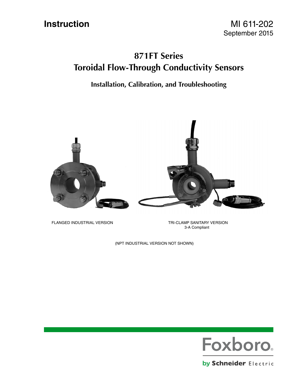## **871FT Series Toroidal Flow-Through Conductivity Sensors**

### **Installation, Calibration, and Troubleshooting**



FLANGED INDUSTRIAL VERSION TRI-CLAMP SANITARY VERSION

3-A Compliant

(NPT INDUSTRIAL VERSION NOT SHOWN)



by Schneider Electric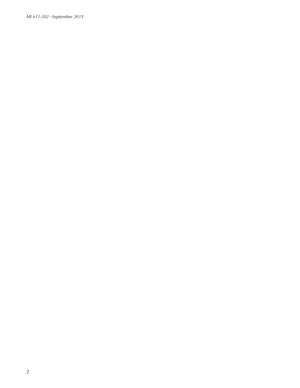*MI 611-202 –September 2015*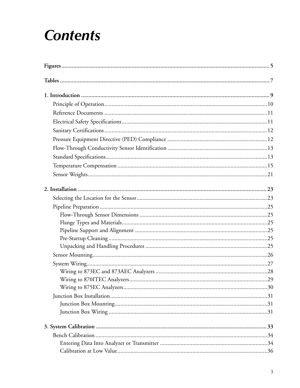# **Contents**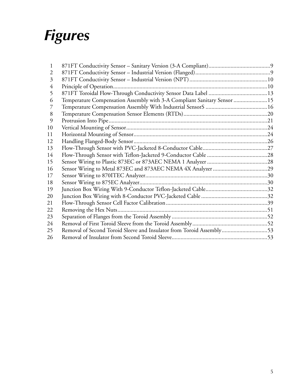# <span id="page-4-0"></span>*Figures*

| 1  |                                                                         |  |
|----|-------------------------------------------------------------------------|--|
| 2  |                                                                         |  |
| 3  |                                                                         |  |
| 4  |                                                                         |  |
| 5  |                                                                         |  |
| 6  | Temperature Compensation Assembly with 3-A Compliant Sanitary Sensor 15 |  |
| 7  |                                                                         |  |
| 8  |                                                                         |  |
| 9  |                                                                         |  |
| 10 |                                                                         |  |
| 11 |                                                                         |  |
| 12 |                                                                         |  |
| 13 |                                                                         |  |
| 14 |                                                                         |  |
| 15 |                                                                         |  |
| 16 |                                                                         |  |
| 17 |                                                                         |  |
| 18 |                                                                         |  |
| 19 |                                                                         |  |
| 20 |                                                                         |  |
| 21 |                                                                         |  |
| 22 |                                                                         |  |
| 23 |                                                                         |  |
| 24 |                                                                         |  |
| 25 | Removal of Second Toroid Sleeve and Insulator from Toroid Assembly53    |  |
| 26 |                                                                         |  |
|    |                                                                         |  |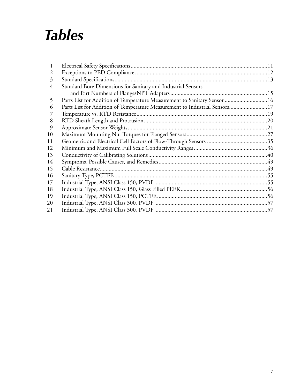# <span id="page-6-0"></span>*Tables*

| 2  |                                                                            |  |
|----|----------------------------------------------------------------------------|--|
| 3  |                                                                            |  |
| 4  | Standard Bore Dimensions for Sanitary and Industrial Sensors               |  |
|    |                                                                            |  |
| 5  | Parts List for Addition of Temperature Measurement to Sanitary Sensor 16   |  |
| 6  | Parts List for Addition of Temperature Measurement to Industrial Sensors17 |  |
| 7  |                                                                            |  |
| 8  |                                                                            |  |
| 9  |                                                                            |  |
| 10 |                                                                            |  |
| 11 |                                                                            |  |
| 12 |                                                                            |  |
| 13 |                                                                            |  |
| 14 |                                                                            |  |
| 15 |                                                                            |  |
| 16 |                                                                            |  |
| 17 |                                                                            |  |
| 18 |                                                                            |  |
| 19 |                                                                            |  |
| 20 |                                                                            |  |
| 21 |                                                                            |  |
|    |                                                                            |  |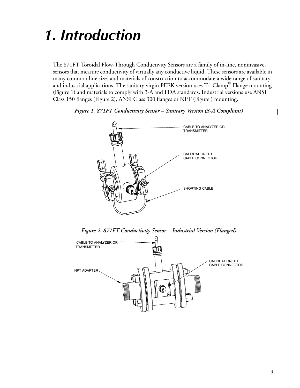# <span id="page-8-0"></span>*1. Introduction*

The 871FT Toroidal Flow-Through Conductivity Sensors are a family of in-line, noninvasive, sensors that measure conductivity of virtually any conductive liquid. These sensors are available in many common line sizes and materials of construction to accommodate a wide range of sanitary and industrial applications. The sanitary virgin PEEK version uses Tri-Clamp® Flange mounting ([Figure 1](#page-8-1)) and materials to comply with 3-A and FDA standards. Industrial versions use ANSI Class 150 flanges [\(Figure 2](#page-8-2)), ANSI Class 300 flanges or NPT [\(Figure](#page-8-3) ) mounting.

```
Figure 1. 871FT Conductivity Sensor – Sanitary Version (3-A Compliant)
```


<span id="page-8-4"></span>*Figure 2. 871FT Conductivity Sensor – Industrial Version (Flanged)*

<span id="page-8-3"></span><span id="page-8-2"></span>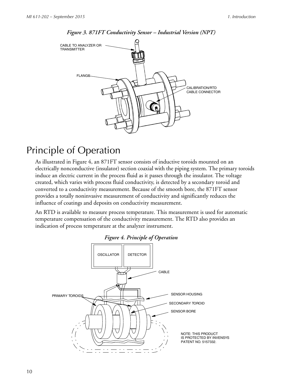<span id="page-9-1"></span>

*Figure 3. 871FT Conductivity Sensor – Industrial Version (NPT)*

## <span id="page-9-0"></span>Principle of Operation

As illustrated in [Figure 4](#page-9-2), an 871FT sensor consists of inductive toroids mounted on an electrically nonconductive (insulator) section coaxial with the piping system. The primary toroids induce an electric current in the process fluid as it passes through the insulator. The voltage created, which varies with process fluid conductivity, is detected by a secondary toroid and converted to a conductivity measurement. Because of the smooth bore, the 871FT sensor provides a totally noninvasive measurement of conductivity and significantly reduces the influence of coatings and deposits on conductivity measurement.

<span id="page-9-2"></span>An RTD is available to measure process temperature. This measurement is used for automatic temperature compensation of the conductivity measurement. The RTD also provides an indication of process temperature at the analyzer instrument.



#### *Figure 4. Principle of Operation*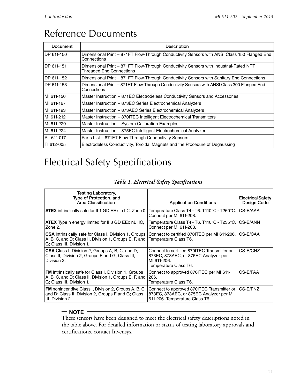# <span id="page-10-3"></span><span id="page-10-0"></span>Reference Documents

| Document   | Description                                                                                                              |
|------------|--------------------------------------------------------------------------------------------------------------------------|
| DP 611-150 | Dimensional Print – 871FT Flow-Through Conductivity Sensors with ANSI Class 150 Flanged End<br>Connections               |
| DP 611-151 | Dimensional Print - 871FT Flow-Through Conductivity Sensors with Industrial-Rated NPT<br><b>Threaded End Connections</b> |
| DP 611-152 | Dimensional Print – 871FT Flow-Through Conductivity Sensors with Sanitary End Connections                                |
| DP 611-153 | Dimensional Print - 871FT Flow-Through Conductivity Sensors with ANSI Class 300 Flanged End<br>Connections               |
| MI 611-150 | Master Instruction – 871 EC Electrodeless Conductivity Sensors and Accessories                                           |
| MI 611-167 | Master Instruction – 873EC Series Electrochemical Analyzers                                                              |
| MI 611-193 | Master Instruction - 873AEC Series Electrochemical Analyzers                                                             |
| MI 611-212 | Master Instruction - 870ITEC Intelligent Electrochemical Transmitters                                                    |
| MI 611-220 | Master Instruction - System Calibration Examples                                                                         |
| MI 611-224 | Master Instruction - 875EC Intelligent Electrochemical Analyzer                                                          |
| PL 611-017 | Parts List - 871FT Flow-Through Conductivity Sensors                                                                     |
| TI 612-005 | Electrodeless Conductivity, Toroidal Magnets and the Procedure of Degaussing                                             |

# <span id="page-10-1"></span>Electrical Safety Specifications

<span id="page-10-2"></span>

| Testing Laboratory,<br>Type of Protection, and<br>Area Classification                                                                                | <b>Application Conditions</b>                                                                                               | <b>Electrical Safety</b><br>Design Code |
|------------------------------------------------------------------------------------------------------------------------------------------------------|-----------------------------------------------------------------------------------------------------------------------------|-----------------------------------------|
| <b>ATEX</b> intrinsically safe for II 1 GD EEx ia IIC, Zone 0.                                                                                       | Temperature Class T4 - T6. T110°C - T260°C.<br>Connect per MI 611-208.                                                      | <b>ICS-E/AAA</b>                        |
| <b>ATEX</b> Type n energy limited for II 3 GD EEx nL IIC,<br>Zone 2.                                                                                 | Temperature Class T4 - T6. T110°C - T235°C.  CS-E/ANN<br>Connect per MI 611-208.                                            |                                         |
| <b>CSA</b> intrinsically safe for Class I, Division 1, Groups<br>A, B, C, and D; Class II, Division 1, Groups E, F, and<br>G; Class III, Division 1. | Connect to certified 870ITEC per MI 611-206.<br>Temperature Class T6.                                                       | CS-E/CAA                                |
| <b>CSA</b> Class I, Division 2, Groups A, B, C, and D;<br>Class II, Division 2, Groups F and G; Class III,<br>Division 2.                            | Connect to certified 870 TEC Transmitter or<br>873EC, 873AEC, or 875EC Analyzer per<br>MI 611-206.<br>Temperature Class T6. | CS-E/CNZ                                |
| <b>FM</b> intrinsically safe for Class I, Division 1, Groups<br>A, B, C, and D; Class II, Division 1, Groups E, F, and<br>G; Class III, Division 1.  | Connect to approved 870 TEC per MI 611-<br>206.<br>Temperature Class T6.                                                    | CS-E/FAA                                |
| <b>FM</b> nonincendive Class I, Division 2, Groups A, B, C,<br>and D; Class II, Division 2, Groups F and G; Class<br>III, Division 2.                | Connect to approved 870ITEC Transmitter or<br>873EC, 873AEC, or 875EC Analyzer per MI<br>611-206. Temperature Class T6.     | CS-E/FNZ                                |

#### *Table 1. Electrical Safety Specifications*

#### $-$  NOTE

These sensors have been designed to meet the electrical safety descriptions noted in the table above. For detailed information or status of testing laboratory approvals and certifications, contact Invensys.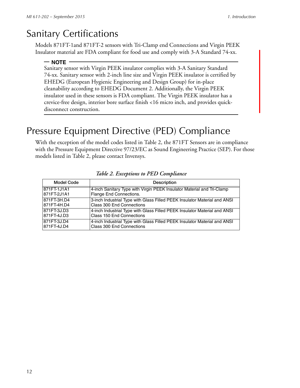## <span id="page-11-0"></span>Sanitary Certifications

Models 871FT-1and 871FT-2 sensors with Tri-Clamp end Connections and Virgin PEEK Insulator material are FDA compliant for food use and comply with 3-A Standard 74-xx.

 $-$  NOTE Sanitary sensor with Virgin PEEK insulator complies with 3-A Sanitary Standard 74-xx. Sanitary sensor with 2-inch line size and Virgin PEEK insulator is certified by EHEDG (European Hygienic Engineering and Design Group) for in-place cleanability according to EHEDG Document 2. Additionally, the Virgin PEEK insulator used in these sensors is FDA compliant. The Virgin PEEK insulator has a crevice-free design, interior bore surface finish <16 micro inch, and provides quickdisconnect construction.

# <span id="page-11-1"></span>Pressure Equipment Directive (PED) Compliance

With the exception of the model codes listed in [Table 2,](#page-11-2) the 871FT Sensors are in compliance with the Pressure Equipment Directive 97/23/EC as Sound Engineering Practice (SEP). For those models listed in [Table 2,](#page-11-2) please contact Invensys.

<span id="page-11-2"></span>

| <b>Model Code</b> | <b>Description</b>                                                        |
|-------------------|---------------------------------------------------------------------------|
| 1871FT-1J1A1      | 4-inch Sanitary Type with Virgin PEEK Insulator Material and Tri-Clamp    |
| 1871FT-2J1A1      | Flange End Connections.                                                   |
| 871FT-3H.D4       | 3-inch Industrial Type with Glass Filled PEEK Insulator Material and ANSI |
| 1871FT-4H.D4      | Class 300 End Connections                                                 |
| 871FT-3J.D3       | 4-inch Industrial Type with Glass Filled PEEK Insulator Material and ANSI |
| 871FT-4J.D3       | Class 150 End Connections                                                 |
| 871FT-3J.D4       | 4-inch Industrial Type with Glass Filled PEEK Insulator Material and ANSI |
| 871FT-4J.D4       | Class 300 End Connections                                                 |

*Table 2. Exceptions to PED Compliance*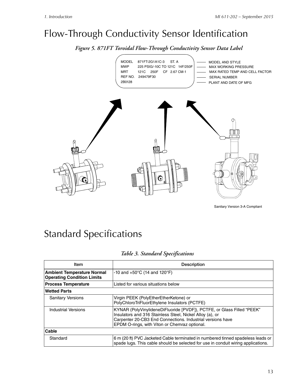# <span id="page-12-0"></span>Flow-Through Conductivity Sensor Identification

*Figure 5. 871FT Toroidal Flow-Through Conductivity Sensor Data Label*

<span id="page-12-2"></span>

Sanitary Version 3-A Compliant

# <span id="page-12-1"></span>Standard Specifications

#### <span id="page-12-4"></span>*Table 3. Standard Specifications*

<span id="page-12-3"></span>

| Item                                                                   | Description                                                                                                                                                                                                                                       |  |
|------------------------------------------------------------------------|---------------------------------------------------------------------------------------------------------------------------------------------------------------------------------------------------------------------------------------------------|--|
| <b>Ambient Temperature Normal</b><br><b>Operating Condition Limits</b> | -10 and $+50^{\circ}$ C (14 and 120°F)                                                                                                                                                                                                            |  |
| <b>Process Temperature</b>                                             | Listed for various situations below                                                                                                                                                                                                               |  |
| <b>Wetted Parts</b>                                                    |                                                                                                                                                                                                                                                   |  |
| <b>Sanitary Versions</b>                                               | Virgin PEEK (PolyEtherEtherKetone) or<br>PolyChloroTriFluorEthylene Insulators (PCTFE)                                                                                                                                                            |  |
| <b>Industrial Versions</b>                                             | KYNAR (PolyVinylideneDiFluoride [PVDF]), PCTFE, or Glass Filled "PEEK"<br>Insulators and 316 Stainless Steel, Nickel Alloy (a), or<br>Carpenter 20-CB3 End Connections. Industrial versions have<br>EPDM O-rings, with Viton or Chemraz optional. |  |
| Cable                                                                  |                                                                                                                                                                                                                                                   |  |
| Standard                                                               | 6 m (20 ft) PVC Jacketed Cable terminated in numbered tinned spadeless leads or<br>spade lugs. This cable should be selected for use in conduit wiring applications.                                                                              |  |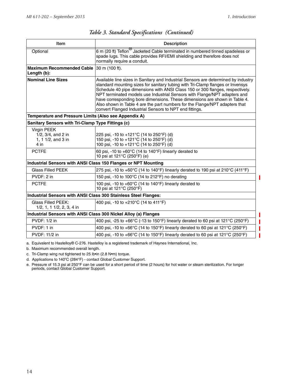|  |  | Table 3. Standard Specifications (Continued) |  |
|--|--|----------------------------------------------|--|
|--|--|----------------------------------------------|--|

| <b>Item</b>                                                                  | Description                                                                                                                                                                                                                                                                                                                                                                                                                                                                                                                                                |
|------------------------------------------------------------------------------|------------------------------------------------------------------------------------------------------------------------------------------------------------------------------------------------------------------------------------------------------------------------------------------------------------------------------------------------------------------------------------------------------------------------------------------------------------------------------------------------------------------------------------------------------------|
| Optional                                                                     | 6 m (20 ft) Teflon Jacketed Cable terminated in numbered tinned spadeless or<br>spade lugs. This cable provides RFI/EMI shielding and therefore does not<br>normally require a conduit.                                                                                                                                                                                                                                                                                                                                                                    |
| Maximum Recommended Cable 30 m (100 ft).<br>Length (b):                      |                                                                                                                                                                                                                                                                                                                                                                                                                                                                                                                                                            |
| Nominal Line Sizes                                                           | Available line sizes in Sanitary and Industrial Sensors are determined by industry<br>standard mounting sizes for sanitary tubing with Tri-Clamp flanges or Invensys<br>Schedule 40 pipe dimensions with ANSI Class 150 or 300 flanges, respectively.<br>NPT terminated models use Industrial Sensors with Flange/NPT adapters and<br>have corresponding bore dimensions. These dimensions are shown in Table 4.<br>Also shown in Table 4 are the part numbers for the Flange/NPT adapters that<br>convert Flanged Industrial Sensors to NPT end fittings. |
| Temperature and Pressure Limits (Also see Appendix A)                        |                                                                                                                                                                                                                                                                                                                                                                                                                                                                                                                                                            |
| Sanitary Sensors with Tri-Clamp Type Fittings (c)                            |                                                                                                                                                                                                                                                                                                                                                                                                                                                                                                                                                            |
| Virgin PEEK<br>$1/2$ , $3/4$ , and $2$ in<br>1, 1 $1/2$ , and 3 in<br>$4$ in | 225 psi, -10 to +121 °C (14 to 250 °F) (d)<br>150 psi, -10 to +121°C (14 to 250°F) (d)<br>100 psi, -10 to +121°C (14 to 250°F) (d)                                                                                                                                                                                                                                                                                                                                                                                                                         |
| <b>PCTFE</b>                                                                 | 60 psi, -10 to +60 $^{\circ}$ C (14 to 140 $^{\circ}$ F) linearly derated to<br>10 psi at 121°C (250°F) (e)                                                                                                                                                                                                                                                                                                                                                                                                                                                |
|                                                                              | Industrial Sensors with ANSI Class 150 Flanges or NPT Mounting                                                                                                                                                                                                                                                                                                                                                                                                                                                                                             |
| <b>Glass Filled PEEK</b>                                                     | 275 psi, -10 to +60°C (14 to 140°F) linearly derated to 190 psi at 210°C (411°F)                                                                                                                                                                                                                                                                                                                                                                                                                                                                           |
| PVDF: 2 in                                                                   | 150 psi, -10 to 100 $\degree$ C (14 to 212 $\degree$ F) no derating                                                                                                                                                                                                                                                                                                                                                                                                                                                                                        |
| <b>PCTFE</b>                                                                 | 100 psi, -10 to +60°C (14 to 140°F) linearly derated to<br>10 psi at 121°C (250°F)                                                                                                                                                                                                                                                                                                                                                                                                                                                                         |
|                                                                              | Industrial Sensors with ANSI Class 300 Stainless Steel Flanges:                                                                                                                                                                                                                                                                                                                                                                                                                                                                                            |
| <b>Glass Filled PEEK:</b><br>$1/2$ , 1, 1 $1/2$ , 2, 3, 4 in                 | 400 psi, -10 to +210 $^{\circ}$ C (14 to 411 $^{\circ}$ F)                                                                                                                                                                                                                                                                                                                                                                                                                                                                                                 |
|                                                                              | Industrial Sensors with ANSI Class 300 Nickel Alloy (a) Flanges                                                                                                                                                                                                                                                                                                                                                                                                                                                                                            |
| PVDF: 1/2 in                                                                 | 400 psi, -25 to +66°C (-13 to 150°F) linearly derated to 60 psi at 121°C (250°F)                                                                                                                                                                                                                                                                                                                                                                                                                                                                           |
| PVDF: 1 in                                                                   | 400 psi, -10 to +66°C (14 to 150°F) linearly derated to 60 psi at 121°C (250°F)                                                                                                                                                                                                                                                                                                                                                                                                                                                                            |
| PVDF: 11/2 in                                                                | 400 psi, -10 to +66°C (14 to 150°F) linearly derated to 60 psi at 121°C (250°F)                                                                                                                                                                                                                                                                                                                                                                                                                                                                            |

<span id="page-13-1"></span>a. Equivalent to Hastelloy® C-276. Hastelloy is a registered trademark of Haynes International, Inc.

b. Maximum recommended overall length.

c. Tri-Clamp wing nut tightened to 25 lb•in (2.8 N•m) torque.

<span id="page-13-0"></span>d. Applications to 140°C (284°F) - contact Global Customer Support.

e. Pressure of 15.3 psi at 250°F can be used for a short period of time (2 hours) for hot water or steam sterilization. For longer periods, contact Global Customer Support.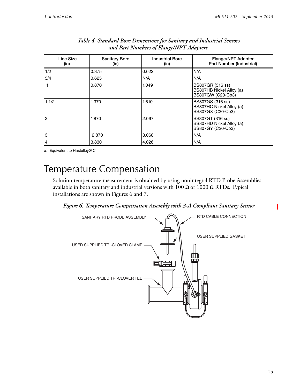<span id="page-14-2"></span>

| Line Size<br>(in) | <b>Sanitary Bore</b><br>(in) | <b>Industrial Bore</b><br>(in) | Flange/NPT Adapter<br>Part Number (Industrial)                                  |
|-------------------|------------------------------|--------------------------------|---------------------------------------------------------------------------------|
| 1/2               | 0.375                        | 0.622                          | N/A                                                                             |
| 3/4               | 0.625                        | N/A                            | N/A                                                                             |
|                   | 0.870                        | 1.049                          | BS807GR (316 ss)<br>BS807HB Nickel Alloy (a)<br>BS807GW (C20-Cb3)               |
| $1 - 1/2$         | 1.370                        | 1.610                          | <b>BS807GS (316 ss)</b><br>BS807HC Nickel Alloy (a)<br><b>BS807GX (C20-Cb3)</b> |
| $\overline{2}$    | 1.870                        | 2.067                          | BS807GT (316 ss)<br>BS807HD Nickel Alloy (a)<br><b>BS807GY (C20-Cb3)</b>        |
| 3                 | 2.870                        | 3.068                          | N/A                                                                             |
| $\overline{4}$    | 3.830                        | 4.026                          | N/A                                                                             |

#### *Table 4. Standard Bore Dimensions for Sanitary and Industrial Sensors and Part Numbers of Flange/NPT Adapters*

a. Equivalent to Hastelloy® C.

## <span id="page-14-0"></span>Temperature Compensation

Solution temperature measurement is obtained by using nonintegral RTD Probe Assemblies available in both sanitary and industrial versions with 100 Ω or 1000 Ω RTDs. Typical installations are shown in Figures [6](#page-14-1) and [7](#page-15-0).

#### <span id="page-14-1"></span>*Figure 6. Temperature Compensation Assembly with 3-A Compliant Sanitary Sensor*

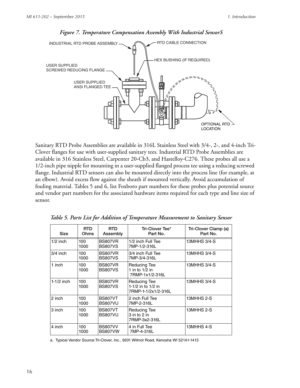<span id="page-15-0"></span>

#### *Figure 7. Temperature Compensation Assembly With Industrial SensorS*

Sanitary RTD Probe Assemblies are available in 316L Stainless Steel with 3/4-, 2-, and 4-inch Tri-Clover flanges for use with user-supplied sanitary tees. Industrial RTD Probe Assemblies are available in 316 Stainless Steel, Carpenter 20-Cb3, and Hastelloy-C276. These probes all use a 1/2-inch pipe nipple for mounting in a user-supplied flanged process tee using a reducing screwed flange. Industrial RTD sensors can also be mounted directly into the process line (for example, at an elbow). Avoid excess flow against the sheath if mounted vertically. Avoid accumulation of fouling material. Tables [5](#page-15-1) and [6,](#page-16-0) list Foxboro part numbers for these probes plus potential source and vendor part numbers for the associated hardware items required for each type and line size of sensor.

| <b>Size</b>  | <b>RTD</b><br>Ohms | <b>RTD</b><br>Assembly           | Tri-Clover Tee*<br>Part No.                                        | Tri-Clover Clamp (a)<br>Part No. |
|--------------|--------------------|----------------------------------|--------------------------------------------------------------------|----------------------------------|
| $1/2$ inch   | 100<br>1000        | <b>BS807VR</b><br><b>BS807VS</b> | 1/2 inch Full Tee<br>7MP-1/2-316L                                  | 13MHHS 3/4-S                     |
| $3/4$ inch   | 100<br>1000        | <b>BS807VR</b><br><b>BS807VS</b> | 3/4 inch Full Tee<br>7MP-3/4-316L                                  | 13MHHS 3/4-S                     |
| 1 inch       | 100<br>1000        | <b>BS807VR</b><br><b>BS807VS</b> | <b>Reducing Tee</b><br>1 in to $1/2$ in<br>7RMP-1x1/2-316L         | 13MHHS 3/4-S                     |
| $1-1/2$ inch | 100<br>1000        | <b>BS807VR</b><br><b>BS807VS</b> | <b>Reducing Tee</b><br>1-1/2 in to $1/2$ in<br>7RMP-1-1/2x1/2-316L | 13MHHS 3/4-S                     |
| 2 inch       | 100<br>1000        | <b>BS807VT</b><br>BS807VU        | 2 inch Full Tee<br>7MP-2-316L                                      | 13MHHS 2-S                       |
| 3 inch       | 100<br>1000        | <b>BS807VT</b><br><b>BS807VU</b> | <b>Reducing Tee</b><br>$3$ in to $2$ in<br>7RMP-3x2-316L           | 13MHHS 2-S                       |
| 4 inch       | 100<br>1000        | <b>BS807VV</b><br>BS807VW        | 4 in Full Tee<br>7MP-4-316L                                        | 13MHHS 4-S                       |

<span id="page-15-1"></span>*Table 5. Parts List for Addition of Temperature Measurement to Sanitary Sensor*

a. Typical Vendor Source:Tri-Clover, Inc., 9201 Wilmot Road, Kenosha WI 52141-1413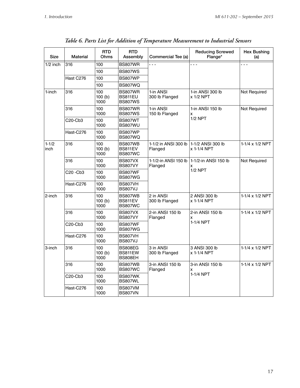<span id="page-16-0"></span>

| <b>Size</b>       | Material  | <b>RTD</b><br>Ohms    | <b>RTD</b><br>Assembly                      | Commercial Tee (a)              | <b>Reducing Screwed</b><br>Flange*     | <b>Hex Bushing</b><br>(a) |
|-------------------|-----------|-----------------------|---------------------------------------------|---------------------------------|----------------------------------------|---------------------------|
| $1/2$ inch        | 316       | 100                   | <b>BS807WR</b>                              | - - -                           | $- - -$                                | - - -                     |
|                   |           | 100                   | <b>BS807WS</b>                              |                                 |                                        |                           |
|                   | Hast C276 | 100                   | <b>BS807WP</b>                              |                                 |                                        |                           |
|                   |           | 100                   | <b>BS807WQ</b>                              |                                 |                                        |                           |
| 1-inch            | 316       | 100<br>100(b)<br>1000 | <b>BS807WR</b><br>BS811EU<br><b>BS807WS</b> | 1-in ANSI<br>300 lb Flanged     | 1-in ANSI 300 lb<br>x 1/2 NPT          | Not Required              |
|                   | 316       | 100<br>1000           | <b>BS807WR</b><br><b>BS807WS</b>            | 1-in ANSI<br>150 lb Flanged     | 1-in ANSI 150 lb<br>x                  | Not Required              |
|                   | C20-Cb3   | 100<br>1000           | <b>BS807WT</b><br>BS807WU                   |                                 | $1/2$ NPT                              |                           |
|                   | Hast-C276 | 100<br>1000           | <b>BS807WP</b><br><b>BS807WQ</b>            |                                 |                                        |                           |
| $1 - 1/2$<br>inch | 316       | 100<br>100(b)<br>1000 | <b>BS807WB</b><br>BS811EV<br><b>BS807WC</b> | 1-1/2 in ANSI 300 lb<br>Flanged | 1-1/2 ANSI 300 lb<br>x 1-1/4 NPT       | 1-1/4 x 1/2 NPT           |
|                   | 316       | 100<br>1000           | <b>BS807VX</b><br><b>BS807VY</b>            | 1-1/2-in ANSI 150 lb<br>Flanged | 1-1/2-in ANSI 150 lb<br>x<br>$1/2$ NPT | Not Required              |
|                   | C20 - Cb3 | 100<br>1000           | <b>BS807WF</b><br><b>BS807WG</b>            |                                 |                                        |                           |
|                   | Hast-C276 | 100<br>1000           | <b>BS807VH</b><br>BS807VJ                   |                                 |                                        |                           |
| 2-inch            | 316       | 100<br>100(b)<br>1000 | <b>BS807WB</b><br><b>BS811EV</b><br>BS807WC | 2 in ANSI<br>300 lb Flanged     | 2 ANSI 300 lb<br>x 1-1/4 NPT           | 1-1/4 x 1/2 NPT           |
|                   | 316       | 100<br>1000           | <b>BS807VX</b><br><b>BS807VY</b>            | 2-in ANSI 150 lb<br>Flanged     | 2-in ANSI 150 lb<br>X<br>1-1/4 NPT     | 1-1/4 x 1/2 NPT           |
|                   | C20-Cb3   | 100<br>1000           | <b>BS807WF</b><br>BS807WG                   |                                 |                                        |                           |
|                   | Hast-C276 | 100<br>1000           | BS807VH<br><b>BS807VJ</b>                   |                                 |                                        |                           |
| 3-inch            | 316       | 100<br>100(b)<br>1000 | BS808EG<br>BS811EW<br>BS808EH               | 3 in ANSI<br>300 lb Flanged     | 3 ANSI 300 lb<br>x 1-1/4 NPT           | 1-1/4 x 1/2 NPT           |
|                   | 316       | 100<br>1000           | BS807WB<br>BS807WC                          | 3-in ANSI 150 lb<br>Flanged     | 3-in ANSI 150 lb<br>x                  | 1-1/4 x 1/2 NPT           |
|                   | C20-Cb3   | 100<br>1000           | BS807WK<br>BS807WL                          |                                 | $1-1/4$ NPT                            |                           |
|                   | Hast-C276 | 100<br>1000           | BS807VM<br><b>BS807VN</b>                   |                                 |                                        |                           |

*Table 6. Parts List for Addition of Temperature Measurement to Industrial Sensors*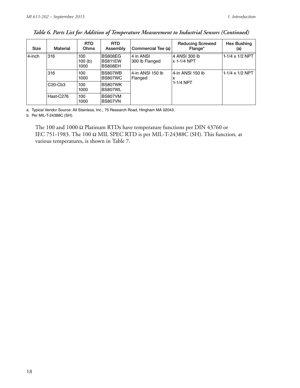| <b>Size</b> | Material  | <b>RTD</b><br><b>Ohms</b> | <b>RTD</b><br>Assembly               | Commercial Tee (a)          | <b>Reducing Screwed</b><br>Flange*   | Hex Bushing<br>(a)     |
|-------------|-----------|---------------------------|--------------------------------------|-----------------------------|--------------------------------------|------------------------|
| 4-inch      | 316       | 100<br>100(b)<br>1000     | <b>BS808EG</b><br>BS811EW<br>BS808EH | 4 in ANSI<br>300 lb Flanged | 4 ANSI 300 lb<br>x 1-1/4 NPT         | $1-1/4 \times 1/2$ NPT |
|             | 316       | 100<br>1000               | <b>BS807WB</b><br><b>BS807WC</b>     | 4-in ANSI 150 lb<br>Flanged | 4-in ANSI 150 lb<br>x<br>$1-1/4$ NPT | $1-1/4 \times 1/2$ NPT |
|             | $C20-Cb3$ | 100<br>1000               | <b>BS807WK</b><br>BS807WL            |                             |                                      |                        |
|             | Hast-C276 | 100<br>1000               | <b>BS807VM</b><br><b>BS807VN</b>     |                             |                                      |                        |

*Table 6. Parts List for Addition of Temperature Measurement to Industrial Sensors (Continued)*

<span id="page-17-0"></span>a. Typical Vendor Source: All Stainless, Inc., 75 Research Road, Hingham MA 02043.

<span id="page-17-1"></span>b. Per MIL-T-24388C (SH).

The 100 and 1000 Ω Platinum RTDs have temperature functions per DIN 43760 or IEC 751-1983. The 100 Ω MIL SPEC RTD is per MIL-T-24388C (SH). This function, at various temperatures, is shown in [Table 7](#page-18-0).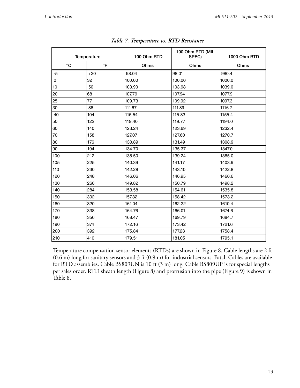<span id="page-18-0"></span>

|             | Temperature | 100 Ohm RTD | 100 Ohm RTD (MIL<br>SPEC) | 1000 Ohm RTD |
|-------------|-------------|-------------|---------------------------|--------------|
| $^{\circ}C$ | $\circ$ F   | Ohms        | Ohms                      | Ohms         |
| $-5$        | $+20$       | 98.04       | 98.01                     | 980.4        |
| 0           | 32          | 100.00      | 100.00                    | 1000.0       |
| 10          | 50          | 103.90      | 103.98                    | 1039.0       |
| 20          | 68          | 107.79      | 107.94                    | 1077.9       |
| 25          | 77          | 109.73      | 109.92                    | 1097.3       |
| 30          | 86          | 111.67      | 111.89                    | 1116.7       |
| 40          | 104         | 115.54      | 115.83                    | 1155.4       |
| 50          | 122         | 119.40      | 119.77                    | 1194.0       |
| 60          | 140         | 123.24      | 123.69                    | 1232.4       |
| 70          | 158         | 127.07      | 127.60                    | 1270.7       |
| 80          | 176         | 130.89      | 131.49                    | 1308.9       |
| 90          | 194         | 134.70      | 135.37                    | 1347.0       |
| 100         | 212         | 138.50      | 139.24                    | 1385.0       |
| 105         | 225         | 140.39      | 141.17                    | 1403.9       |
| 110         | 230         | 142.28      | 143.10                    | 1422.8       |
| 120         | 248         | 146.06      | 146.95                    | 1460.6       |
| 130         | 266         | 149.82      | 150.79                    | 1498.2       |
| 140         | 284         | 153.58      | 154.61                    | 1535.8       |
| 150         | 302         | 157.32      | 158.42                    | 1573.2       |
| 160         | 320         | 161.04      | 162.22                    | 1610.4       |
| 170         | 338         | 164.76      | 166.01                    | 1674.6       |
| 180         | 356         | 168.47      | 169.79                    | 1684.7       |
| 190         | 374         | 172.16      | 173.42                    | 1721.6       |
| 200         | 392         | 175.84      | 177.23                    | 1758.4       |
| 210         | 410         | 179.51      | 181.05                    | 1795.1       |

<span id="page-18-1"></span>*Table 7. Temperature vs. RTD Resistance* 

Temperature compensation sensor elements (RTDs) are shown in [Figure 8.](#page-19-0) Cable lengths are 2 ft (0.6 m) long for sanitary sensors and 3 ft (0.9 m) for industrial sensors. Patch Cables are available for RTD assemblies. Cable BS809UN is 10 ft (3 m) long. Cable BS809UP is for special lengths per sales order. RTD sheath length ([Figure 8\)](#page-19-0) and protrusion into the pipe ([Figure 9](#page-20-1)) is shown in [Table 8](#page-19-1).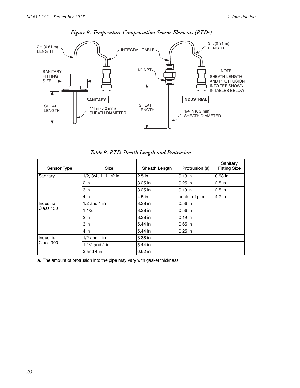<span id="page-19-0"></span>

#### *Figure 8. Temperature Compensation Sensor Elements (RTDs)*

*Table 8. RTD Sheath Length and Protrusion*

<span id="page-19-1"></span>

| Sensor Type | <b>Size</b>                      | Sheath Length                                                                                         | Protrusion (a) | Sanitary<br><b>Fitting Size</b> |
|-------------|----------------------------------|-------------------------------------------------------------------------------------------------------|----------------|---------------------------------|
| Sanitary    | $1/2$ , $3/4$ , $1$ , $1 1/2$ in | $2.5$ in                                                                                              | $0.13$ in      | 0.98 in                         |
|             | $2$ in                           | 3.25 in                                                                                               | $0.25$ in      | $2.5$ in                        |
|             | 3 <sub>in</sub>                  | 3.25 in                                                                                               | $0.19$ in      | $2.5$ in                        |
|             | $4$ in                           | 4.5 in                                                                                                | center of pipe | 4.7 in                          |
| Industrial  | $1/2$ and 1 in                   | 3.38 in                                                                                               | $0.56$ in      |                                 |
| lClass 150  | 11/2                             | 3.38 in                                                                                               | $0.56$ in      |                                 |
|             | $2$ in                           | 3.38 in<br>$0.19$ in<br>5.44 in<br>$0.65$ in<br>5.44 in<br>$0.25$ in<br>3.38 in<br>5.44 in<br>6.62 in |                |                                 |
|             | 3 <sub>in</sub>                  |                                                                                                       |                |                                 |
|             | $4$ in                           |                                                                                                       |                |                                 |
| Industrial  | $1/2$ and 1 in                   |                                                                                                       |                |                                 |
| Class 300   | 1 $1/2$ and 2 in                 |                                                                                                       |                |                                 |
|             | 3 and 4 in                       |                                                                                                       |                |                                 |

a. The amount of protrusion into the pipe may vary with gasket thickness.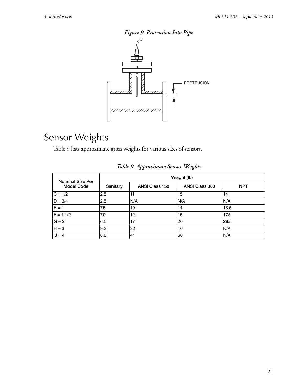#### *Figure 9. Protrusion Into Pipe*

<span id="page-20-1"></span>

# <span id="page-20-0"></span>Sensor Weights

[Table 9](#page-20-2) lists approximate gross weights for various sizes of sensors.

<span id="page-20-2"></span>

| <b>Nominal Size Per</b> | Weight (lb) |                       |                       |            |  |  |
|-------------------------|-------------|-----------------------|-----------------------|------------|--|--|
| <b>Model Code</b>       | Sanitary    | <b>ANSI Class 150</b> | <b>ANSI Class 300</b> | <b>NPT</b> |  |  |
| $C = 1/2$               | 2.5         | 11                    | 15                    | 14         |  |  |
| $D = 3/4$               | 2.5         | N/A                   | N/A                   | N/A        |  |  |
| $E = 1$                 | 7.5         | 10                    | 14                    | 18.5       |  |  |
| $IF = 1-1/2$            | 7.0         | 12                    | 15                    | 17.5       |  |  |
| $G = 2$                 | 6.5         | 17                    | 20                    | 28.5       |  |  |
| $H = 3$                 | 9.3         | 32                    | 40                    | N/A        |  |  |
| $J = 4$                 | 8.8         | 41                    | 60                    | N/A        |  |  |

*Table 9. Approximate Sensor Weights*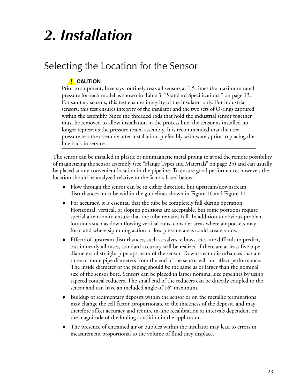# <span id="page-22-0"></span>*2. Installation*

# <span id="page-22-1"></span>Selecting the Location for the Sensor

### **- I** CAUTION

Prior to shipment, Invensys routinely tests all sensors at 1.5 times the maximum rated pressure for each model as shown in [Table 3, "Standard Specifications," on page 13.](#page-12-4) For sanitary sensors, this test ensures integrity of the insulator only. For industrial sensors, this test ensures integrity of the insulator and the two sets of O-rings captured within the assembly. Since the threaded rods that hold the industrial sensor together must be removed to allow installation in the process line, the sensor as installed no longer represents the pressure tested assembly. It is recommended that the user pressure test the assembly after installation, preferably with water, prior to placing the line back in service.

The sensor can be installed in plastic or nonmagnetic metal piping to avoid the remote possibility of magnetizing the sensor assembly (see ["Flange Types and Materials" on page 25](#page-24-2)) and can usually be placed at any convenient location in the pipeline. To ensure good performance, however, the location should be analyzed relative to the factors listed below:

- ♦ Flow through the sensor can be in either direction, but upstream/downstream disturbances must be within the guidelines shown in [Figure 10](#page-23-0) and [Figure 11.](#page-23-1)
- ♦ For accuracy, it is essential that the tube be completely full during operation. Horizontal, vertical, or sloping positions are acceptable, but some positions require special attention to ensure that the tube remains full. In addition to obvious problem locations such as down flowing vertical runs, consider areas where air pockets may form and where siphoning action or low pressure areas could create voids.
- ♦ Effects of upstream disturbances, such as valves, elbows, etc., are difficult to predict, but in nearly all cases, standard accuracy will be realized if there are at least five pipe diameters of straight pipe upstream of the sensor. Downstream disturbances that are three or more pipe diameters from the end of the sensor will not affect performance. The inside diameter of the piping should be the same as or larger than the nominal size of the sensor bore. Sensors can be placed in larger nominal size pipelines by using tapered conical reducers. The small end of the reducers can be directly coupled to the sensor and can have an included angle of 16° maximum.
- ♦ Buildup of sedimentary deposits within the sensor or on the metallic terminations may change the cell factor, proportionate to the thickness of the deposit, and may therefore affect accuracy and require in-line recalibration at intervals dependent on the magnitude of the fouling condition in the application.
- The presence of entrained air or bubbles within the insulator may lead to errors in measurement proportional to the volume of fluid they displace.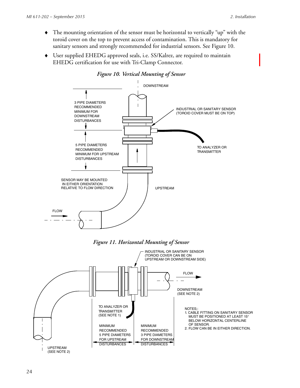- ♦ The mounting orientation of the sensor must be horizontal to vertically "up" with the toroid cover on the top to prevent access of contamination. This is mandatory for sanitary sensors and strongly recommended for industrial sensors. See [Figure 10](#page-23-0).
- ♦ User supplied EHEDG approved seals, i.e. SS/Kalrez, are required to maintain EHEDG certification for use with Tri-Clamp Connector.

<span id="page-23-0"></span>

#### *Figure 10. Vertical Mounting of Sensor*

*Figure 11. Horizontal Mounting of Sensor*

<span id="page-23-1"></span>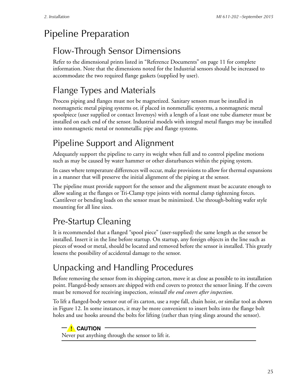# <span id="page-24-0"></span>Pipeline Preparation

## <span id="page-24-1"></span>Flow-Through Sensor Dimensions

Refer to the dimensional prints listed in ["Reference Documents" on page 11](#page-10-3) for complete information. Note that the dimensions noted for the Industrial sensors should be increased to accommodate the two required flange gaskets (supplied by user).

# <span id="page-24-6"></span><span id="page-24-2"></span>Flange Types and Materials

Process piping and flanges must not be magnetized. Sanitary sensors must be installed in nonmagnetic metal piping systems or, if placed in nonmetallic systems, a nonmagnetic metal spoolpiece (user supplied or contact Invensys) with a length of a least one tube diameter must be installed on each end of the sensor. Industrial models with integral metal flanges may be installed into nonmagnetic metal or nonmetallic pipe and flange systems.

# <span id="page-24-3"></span>Pipeline Support and Alignment

Adequately support the pipeline to carry its weight when full and to control pipeline motions such as may be caused by water hammer or other disturbances within the piping system.

In cases where temperature differences will occur, make provisions to allow for thermal expansions in a manner that will preserve the initial alignment of the piping at the sensor.

The pipeline must provide support for the sensor and the alignment must be accurate enough to allow sealing at the flanges or Tri-Clamp type joints with normal clamp tightening forces. Cantilever or bending loads on the sensor must be minimized. Use through-bolting wafer style mounting for all line sizes.

# <span id="page-24-4"></span>Pre-Startup Cleaning

It is recommended that a flanged "spool piece" (user-supplied) the same length as the sensor be installed. Insert it in the line before startup. On startup, any foreign objects in the line such as pieces of wood or metal, should be located and removed before the sensor is installed. This greatly lessens the possibility of accidental damage to the sensor.

# <span id="page-24-5"></span>Unpacking and Handling Procedures

Before removing the sensor from its shipping carton, move it as close as possible to its installation point. Flanged-body sensors are shipped with end covers to protect the sensor lining. If the covers must be removed for receiving inspection, *reinstall the end covers after inspection*.

To lift a flanged-body sensor out of its carton, use a rope fall, chain hoist, or similar tool as shown in [Figure 12.](#page-25-1) In some instances, it may be more convenient to insert bolts into the flange bolt holes and use hooks around the bolts for lifting (rather than tying slings around the sensor).

### **- I** CAUTION

Never put anything through the sensor to lift it.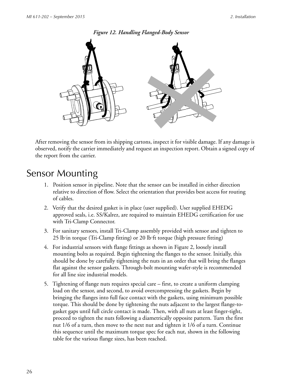#### *Figure 12. Handling Flanged-Body Sensor*

<span id="page-25-1"></span>

After removing the sensor from its shipping cartons, inspect it for visible damage. If any damage is observed, notify the carrier immediately and request an inspection report. Obtain a signed copy of the report from the carrier.

### <span id="page-25-0"></span>Sensor Mounting

- 1. Position sensor in pipeline. Note that the sensor can be installed in either direction relative to direction of flow. Select the orientation that provides best access for routing of cables.
- 2. Verify that the desired gasket is in place (user supplied). User supplied EHEDG approved seals, i.e. SS/Kalrez, are required to maintain EHEDG certification for use with Tri-Clamp Connector.
- 3. For sanitary sensors, install Tri-Clamp assembly provided with sensor and tighten to 25 lb in torque (Tri-Clamp fitting) or 20 lb ft torque (high pressure fitting)
- 4. For industrial sensors with flange fittings as shown in [Figure 2,](#page-8-4) loosely install mounting bolts as required. Begin tightening the flanges to the sensor. Initially, this should be done by carefully tightening the nuts in an order that will bring the flanges flat against the sensor gaskets. Through-bolt mounting wafer-style is recommended for all line size industrial models.
- 5. Tightening of flange nuts requires special care first, to create a uniform clamping load on the sensor, and second, to avoid overcompressing the gaskets. Begin by bringing the flanges into full face contact with the gaskets, using minimum possible torque. This should be done by tightening the nuts adjacent to the largest flange-togasket gaps until full circle contact is made. Then, with all nuts at least finger-tight, proceed to tighten the nuts following a diametrically opposite pattern. Turn the first nut 1/6 of a turn, then move to the next nut and tighten it 1/6 of a turn. Continue this sequence until the maximum torque spec for each nut, shown in the following table for the various flange sizes, has been reached.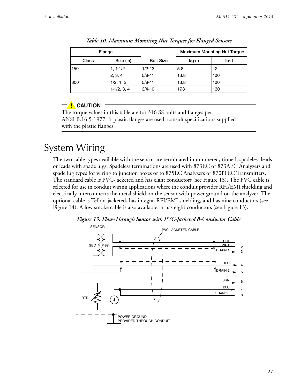<span id="page-26-2"></span>

| Flange |               |                  | <b>Maximum Mounting Nut Torque</b> |       |  |
|--------|---------------|------------------|------------------------------------|-------|--|
| Class  | Size (in)     | <b>Bolt Size</b> | kg m                               | lb ft |  |
| 150    | $1, 1-1/2$    | $1/2 - 13$       | 5.8                                | 42    |  |
|        | 2, 3, 4       | $5/8 - 11$       | 13.8                               | 100   |  |
| 300    | 1/2, 1, 2     | $5/8 - 11$       | 13.8                               | 100   |  |
|        | $1-1/2, 3, 4$ | $3/4 - 10$       | 17.8                               | 130   |  |

*Table 10. Maximum Mounting Nut Torques for Flanged Sensors*

#### **- CAUTION**

The torque values in this table are for 316 SS bolts and flanges per ANSI B.16.5-1977. If plastic flanges are used, consult specifications supplied with the plastic flanges.

## <span id="page-26-3"></span><span id="page-26-0"></span>System Wiring

The two cable types available with the sensor are terminated in numbered, tinned, spadeless leads or leads with spade lugs. Spadeless terminations are used with 873EC or 873AEC Analyzers and spade lug types for wiring to junction boxes or to 875EC Analyzers or 870ITEC Transmitters. The standard cable is PVC-jacketed and has eight conductors (see [Figure 13\)](#page-26-1). The PVC cable is selected for use in conduit wiring applications where the conduit provides RFI/EMI shielding and electrically interconnects the metal shield on the sensor with power ground on the analyzer. The optional cable is Teflon-jacketed, has integral RFI/EMI shielding, and has nine conductors (see [Figure 14](#page-27-1)). A low smoke cable is also available. It has eight conductors (see [Figure 13](#page-26-1)).



<span id="page-26-1"></span>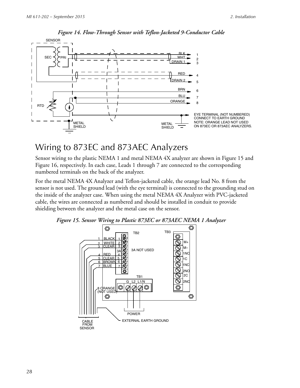<span id="page-27-1"></span>

#### *Figure 14. Flow-Through Sensor with Teflon-Jacketed 9-Conductor Cable*

### <span id="page-27-0"></span>Wiring to 873EC and 873AEC Analyzers

Sensor wiring to the plastic NEMA 1 and metal NEMA 4X analyzer are shown in [Figure 15](#page-27-2) and [Figure 16](#page-28-1), respectively. In each case, Leads 1 through 7 are connected to the corresponding numbered terminals on the back of the analyzer.

For the metal NEMA 4X Analyzer and Teflon-jacketed cable, the orange lead No. 8 from the sensor is not used. The ground lead (with the eye terminal) is connected to the grounding stud on the inside of the analyzer case. When using the metal NEMA 4X Analyzer with PVC-jacketed cable, the wires are connected as numbered and should be installed in conduit to provide shielding between the analyzer and the metal case on the sensor.



<span id="page-27-2"></span>*Figure 15. Sensor Wiring to Plastic 873EC or 873AEC NEMA 1 Analyzer*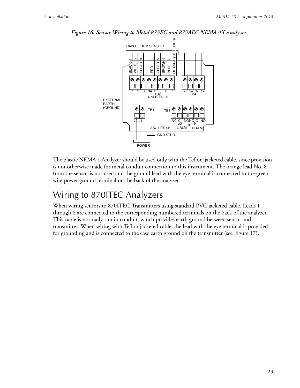

<span id="page-28-1"></span>*Figure 16. Sensor Wiring to Metal 873EC and 873AEC NEMA 4X Analyzer*

The plastic NEMA 1 Analyzer should be used only with the Teflon-jacketed cable, since provision is not otherwise made for metal conduit connection to this instrument. The orange lead No. 8 from the sensor is not used and the ground lead with the eye terminal is connected to the green wire power ground terminal on the back of the analyzer.

### <span id="page-28-0"></span>Wiring to 870ITEC Analyzers

When wiring sensors to 870ITEC Transmitters using standard PVC jacketed cable, Leads 1 through 8 are connected to the corresponding numbered terminals on the back of the analyzer. This cable is normally run in conduit, which provides earth ground between sensor and transmitter. When wiring with Teflon jacketed cable, the lead with the eye terminal is provided for grounding and is connected to the case earth ground on the transmitter (see [Figure 17](#page-29-1)).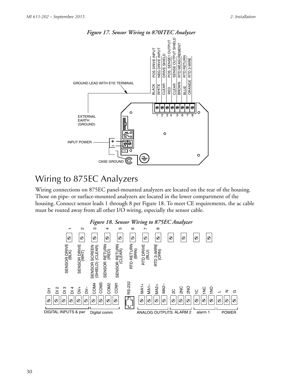<span id="page-29-1"></span>

*Figure 17. Sensor Wiring to 870ITEC Analyzer*

### <span id="page-29-0"></span>Wiring to 875EC Analyzers

Wiring connections on 875EC panel-mounted analyzers are located on the rear of the housing. Those on pipe- or surface-mounted analyzers are located in the lower compartment of the housing. Connect sensor leads 1 through 8 per [Figure 18](#page-29-2). To meet CE requirements, the ac cable must be routed away from all other I/O wiring, especially the sensor cable.

<span id="page-29-2"></span>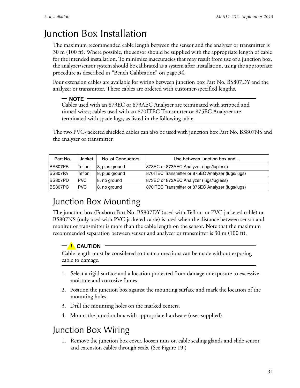# <span id="page-30-0"></span>Junction Box Installation

The maximum recommended cable length between the sensor and the analyzer or transmitter is 30 m (100 ft). Where possible, the sensor should be supplied with the appropriate length of cable for the intended installation. To minimize inaccuracies that may result from use of a junction box, the analyzer/sensor system should be calibrated as a system after installation, using the appropriate procedure as described in ["Bench Calibration" on page 34.](#page-33-2)

Four extension cables are available for wiring between junction box Part No. BS807DY and the analyzer or transmitter. These cables are ordered with customer-specified lengths.

#### $-$  NOTE

Cables used with an 873EC or 873AEC Analyzer are terminated with stripped and tinned wires; cables used with an 870ITEC Transmitter or 875EC Analyzer are terminated with spade lugs, as listed in the following table.

The two PVC-jacketed shielded cables can also be used with junction box Part No. BS807NS and the analyzer or transmitter.

| Part No.       | Jacket     | No. of Conductors | Use between junction box and                       |
|----------------|------------|-------------------|----------------------------------------------------|
| <b>BS807PB</b> | Teflon     | 8, plus ground    | 873EC or 873AEC Analyzer (lugs/lugless)            |
| BS807PA        | Teflon     | 8, plus ground    | 870ITEC Transmitter or 875EC Analyzer (lugs/lugs)  |
| BS807PD        | <b>PVC</b> | 8, no ground      | 873EC or 873AEC Analyzer (lugs/lugless)            |
| BS807PC        | <b>PVC</b> | 8, no ground      | 870 TEC Transmitter or 875 EC Analyzer (lugs/lugs) |

### <span id="page-30-1"></span>Junction Box Mounting

The junction box (Foxboro Part No. BS807DY (used with Teflon- or PVC-jacketed cable) or BS807NS (only used with PVC-jacketed cable) is used when the distance between sensor and monitor or transmitter is more than the cable length on the sensor. Note that the maximum recommended separation between sensor and analyzer or transmitter is 30 m (100 ft).

### $-$  **P** CAUTION

Cable length must be considered so that connections can be made without exposing cable to damage.

- 1. Select a rigid surface and a location protected from damage or exposure to excessive moisture and corrosive fumes.
- 2. Position the junction box against the mounting surface and mark the location of the mounting holes.
- 3. Drill the mounting holes on the marked centers.
- 4. Mount the junction box with appropriate hardware (user-supplied).

### <span id="page-30-2"></span>Junction Box Wiring

1. Remove the junction box cover, loosen nuts on cable sealing glands and slide sensor and extension cables through seals. (See [Figure 19](#page-31-0).)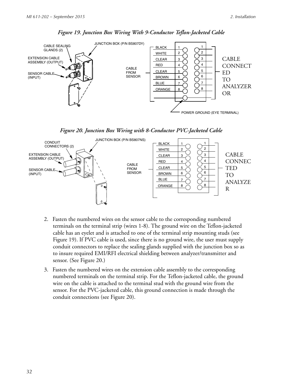<span id="page-31-0"></span>

#### *Figure 19. Junction Box Wiring With 9-Conductor Teflon-Jacketed Cable*



<span id="page-31-1"></span>

- 2. Fasten the numbered wires on the sensor cable to the corresponding numbered terminals on the terminal strip (wires 1-8). The ground wire on the Teflon-jacketed cable has an eyelet and is attached to one of the terminal strip mounting studs (see [Figure 19](#page-31-0)). If PVC cable is used, since there is no ground wire, the user must supply conduit connectors to replace the sealing glands supplied with the junction box so as to insure required EMI/RFI electrical shielding between analyzer/transmitter and sensor. (See [Figure 20](#page-31-1).)
- 3. Fasten the numbered wires on the extension cable assembly to the corresponding numbered terminals on the terminal strip. For the Teflon-jacketed cable, the ground wire on the cable is attached to the terminal stud with the ground wire from the sensor. For the PVC-jacketed cable, this ground connection is made through the conduit connections (see [Figure 20\)](#page-31-1).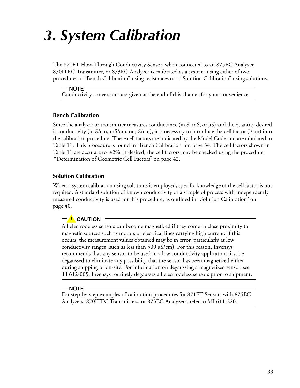# <span id="page-32-0"></span>*3. System Calibration*

The 871FT Flow-Through Conductivity Sensor, when connected to an 875EC Analyzer, 870ITEC Transmitter, or 873EC Analyzer is calibrated as a system, using either of two procedures; a "Bench Calibration" using resistances or a "Solution Calibration" using solutions.

 $-$  NOTE  $-$ Conductivity conversions are given at the end of this chapter for your convenience.

#### **Bench Calibration**

Since the analyzer or transmitter measures conductance (in S, mS, or  $\mu$ S) and the quantity desired is conductivity (in  $S/cm$ , m $S/cm$ , or  $\mu S/cm$ ), it is necessary to introduce the cell factor (l/cm) into the calibration procedure. These cell factors are indicated by the Model Code and are tabulated in [Table 11](#page-34-0). This procedure is found in ["Bench Calibration" on page 34.](#page-33-0) The cell factors shown in [Table 11](#page-34-0) are accurate to  $\pm 2\%$ . If desired, the cell factors may be checked using the procedure ["Determination of Geometric Cell Factors" on page 42](#page-41-0).

#### **Solution Calibration**

When a system calibration using solutions is employed, specific knowledge of the cell factor is not required. A standard solution of known conductivity or a sample of process with independently measured conductivity is used for this procedure, as outlined in ["Solution Calibration" on](#page-39-0)  [page 40.](#page-39-0)

#### $\overline{\phantom{a}}$  **CAUTION**

All electrodeless sensors can become magnetized if they come in close proximity to magnetic sources such as motors or electrical lines carrying high current. If this occurs, the measurement values obtained may be in error, particularly at low conductivity ranges (such as less than 500 μS/cm). For this reason, Invensys recommends that any sensor to be used in a low conductivity application first be degaussed to eliminate any possibility that the sensor has been magnetized either during shipping or on-site. For information on degaussing a magnetized sensor, see TI 612-005. Invensys routinely degausses all electrodeless sensors prior to shipment.

#### $-$  NOTE

For step-by-step examples of calibration procedures for 871FT Sensors with 875EC Analyzers, 870ITEC Transmitters, or 873EC Analyzers, refer to MI 611-220.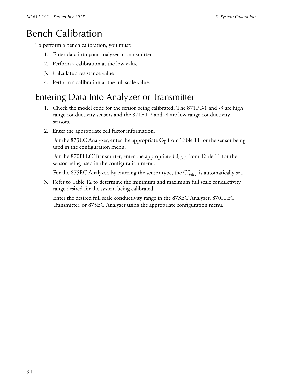### <span id="page-33-2"></span><span id="page-33-0"></span>Bench Calibration

To perform a bench calibration, you must:

- 1. Enter data into your analyzer or transmitter
- 2. Perform a calibration at the low value
- 3. Calculate a resistance value
- 4. Perform a calibration at the full scale value.

### <span id="page-33-1"></span>Entering Data Into Analyzer or Transmitter

- 1. Check the model code for the sensor being calibrated. The 871FT-1 and -3 are high range conductivity sensors and the 871FT-2 and -4 are low range conductivity sensors.
- 2. Enter the appropriate cell factor information.

For the 873EC Analyzer, enter the appropriate  $C_T$  from [Table 11](#page-34-0) for the sensor being used in the configuration menu.

For the 870ITEC Transmitter, enter the appropriate  $Cf_{\text{(elec)}}$  from [Table 11](#page-34-0) for the sensor being used in the configuration menu.

For the 875EC Analyzer, by entering the sensor type, the  $\mathrm{Cf}_{\mathrm{(elec)}}$  is automatically set.

3. Refer to [Table 12](#page-35-1) to determine the minimum and maximum full scale conductivity range desired for the system being calibrated.

Enter the desired full scale conductivity range in the 873EC Analyzer, 870ITEC Transmitter, or 875EC Analyzer using the appropriate configuration menu.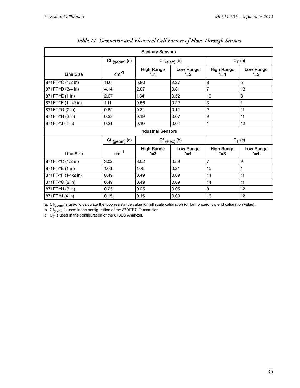<span id="page-34-0"></span>

| <b>Sanitary Sensors</b> |                    |                           |                      |                              |                      |  |
|-------------------------|--------------------|---------------------------|----------------------|------------------------------|----------------------|--|
|                         | $Cf$ (geom) (a)    | $Cf$ (elec) (b)           |                      | $C_T(c)$                     |                      |  |
| Line Size               | $cm^{-1}$          | <b>High Range</b><br>*=1  | Low Range<br>$x=2$   | <b>High Range</b><br>$* = 1$ | Low Range<br>$x=2$   |  |
| 871FT-*C (1/2 in)       | 11.6               | 5.80                      | 2.27                 | 8                            | $\overline{5}$       |  |
| 871FT-*D (3/4 in)       | 4.14               | 2.07                      | 0.81                 | 7                            | 13                   |  |
| 871FT-*E (1 in)         | 2.67               | 1.34                      | 0.52                 | 10                           | 3                    |  |
| 871FT-*F (1-1/2 in)     | 1.11               | 0.56                      | 0.22                 | 3                            | 1                    |  |
| 871FT-*G (2 in)         | 0.62               | 0.31                      | 0.12                 | 2                            | 11                   |  |
| 871FT-*H (3 in)         | 0.38               | 0.19                      | 0.07                 | 9                            | 11                   |  |
| 871FT-*J (4 in)         | 0.21               | 0.10                      | 0.04                 | 1                            | 12                   |  |
|                         |                    | <b>Industrial Sensors</b> |                      |                              |                      |  |
|                         | Cf $_{(geom)}$ (a) |                           | $Cf$ (elec) (b)      |                              | $C_T(c)$             |  |
| <b>Line Size</b>        | $cm^{-1}$          | <b>High Range</b><br>*=3  | Low Range<br>$* = 4$ | <b>High Range</b><br>*=3     | Low Range<br>$* = 4$ |  |
| 871FT-*C (1/2 in)       | 3.02               | 3.02                      | 0.59                 | $\overline{7}$               | 9                    |  |
| 871FT-*E (1 in)         | 1.06               | 1.06                      | 0.21                 | 15                           | 1                    |  |
| 871FT-*F (1-1/2 in)     | 0.49               | 0.49                      | 0.09                 | 14                           | 11                   |  |
| 871FT-*G (2 in)         | 0.49               | 0.49                      | 0.09                 | 14                           | 11                   |  |
| 871FT-*H (3 in)         | 0.25               | 0.25                      | 0.05                 | 3                            | 12                   |  |
| 871FT-*J (4 in)         | 0.15               | 0.15                      | 0.03                 | 16                           | 12                   |  |

#### *Table 11. Geometric and Electrical Cell Factors of Flow-Through Sensors*

<span id="page-34-1"></span>a.  $Cf_{(geom)}$  is used to calculate the loop resistance value for full scale calibration (or for nonzero low end calibration value).

<span id="page-34-2"></span>b.  $\text{Cf}_{\text{(elec)}}$ , is used in the configuration of the 870ITEC Transmitter.

<span id="page-34-3"></span>c.  $C_T$  is used in the configuration of the 873EC Analyzer.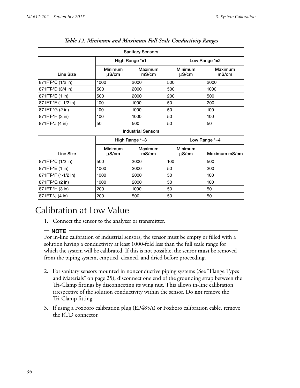<span id="page-35-1"></span>

| <b>Sanitary Sensors</b>                    |                              |                           |                              |                  |  |  |
|--------------------------------------------|------------------------------|---------------------------|------------------------------|------------------|--|--|
|                                            |                              | High Range *=1            | Low Range *=2                |                  |  |  |
| Line Size                                  | Minimum<br>$\mu$ S/cm        | Maximum<br>mS/cm          | <b>Minimum</b><br>$\mu$ S/cm | Maximum<br>mS/cm |  |  |
| $\overline{871FT}$ <sup>*</sup> C (1/2 in) | 1000                         | 2000                      | 500                          | 2000             |  |  |
| 871FT-*D (3/4 in)                          | 500                          | 2000                      | 500                          | 1000             |  |  |
| 871FT-*E (1 in)                            | 500                          | 2000                      | 200                          | 500              |  |  |
| 871FT-*F (1-1/2 in)                        | 100                          | 1000                      | 50                           | 200              |  |  |
| 871FT-*G (2 in)                            | 100                          | 1000                      | 50                           | 100              |  |  |
| 871FT-*H (3 in)                            | 100                          | 1000                      | 50                           | 100              |  |  |
| 871FT-*J (4 in)                            | 50                           | 500                       | 50                           | 50               |  |  |
|                                            |                              | <b>Industrial Sensors</b> |                              |                  |  |  |
|                                            |                              | High Range *=3            | Low Range *=4                |                  |  |  |
| Line Size                                  | <b>Minimum</b><br>$\mu$ S/cm | Maximum<br>mS/cm          | Minimum<br>$\mu$ S/cm        | Maximum mS/cm    |  |  |
| 871FT-*C (1/2 in)                          | 500                          | 2000                      | 100                          | 500              |  |  |
| 871FT-*E (1 in)                            | 1000                         | 2000                      | 50                           | 200              |  |  |
| 871FT-*F (1-1/2 in)                        | 1000                         | 2000                      | 50                           | 100              |  |  |
| 871FT-*G (2 in)                            | 1000                         | 2000                      | 50                           | 100              |  |  |
| 871FT-*H (3 in)                            | 200                          | 1000                      | 50                           | 50               |  |  |
| 871FT-*J (4 in)                            | 200                          | 500                       | 50                           | 50               |  |  |

*Table 12. Minimum and Maximum Full Scale Conductivity Ranges*

### <span id="page-35-0"></span>Calibration at Low Value

1. Connect the sensor to the analyzer or transmitter.

#### $-$  NOTE

For in-line calibration of industrial sensors, the sensor must be empty or filled with a solution having a conductivity at least 1000-fold less than the full scale range for which the system will be calibrated. If this is not possible, the sensor **must** be removed from the piping system, emptied, cleaned, and dried before proceeding.

- 2. For sanitary sensors mounted in nonconductive piping systems (See ["Flange Types](#page-24-6)  [and Materials" on page 25\)](#page-24-6), disconnect one end of the grounding strap between the Tri-Clamp fittings by disconnecting its wing nut. This allows in-line calibration irrespective of the solution conductivity within the sensor. Do **not** remove the Tri-Clamp fitting.
- 3. If using a Foxboro calibration plug (EP485A) or Foxboro calibration cable, remove the RTD connector.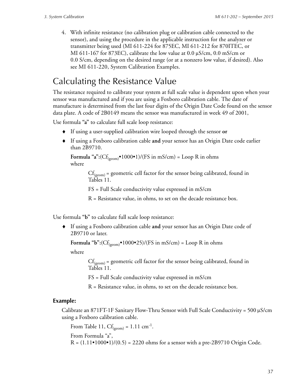4. With infinite resistance (no calibration plug or calibration cable connected to the sensor), and using the procedure in the applicable instruction for the analyzer or transmitter being used (MI 611-224 for 875EC, MI 611-212 for 870ITEC, or MI 611-167 for 873EC), calibrate the low value at 0.0 μS/cm, 0.0 mS/cm or 0.0 S/cm, depending on the desired range (or at a nonzero low value, if desired). Also see MI 611-220, System Calibration Examples.

### <span id="page-36-0"></span>Calculating the Resistance Value

The resistance required to calibrate your system at full scale value is dependent upon when your sensor was manufactured and if you are using a Foxboro calibration cable. The date of manufacture is determined from the last four digits of the Origin Date Code found on the sensor data plate. A code of 2B0149 means the sensor was manufactured in week 49 of 2001,

Use formula **"a"** to calculate full scale loop resistance:

- ♦ If using a user-supplied calibration wire looped through the sensor **or**
- ♦ If using a Foxboro calibration cable **and** your sensor has an Origin Date code earlier than 2B9710.

**Formula "a":**( $Cf_{(geom)}$ •1000•1)/(FS in mS/cm) = Loop R in ohms where

> $Cf_{(geom)}$  = geometric cell factor for the sensor being calibrated, found in Tables [11.](#page-34-0)

FS = Full Scale conductivity value expressed in mS/cm

R = Resistance value, in ohms, to set on the decade resistance box.

Use formula **"b"** to calculate full scale loop resistance:

♦ If using a Foxboro calibration cable **and** your sensor has an Origin Date code of 2B9710 or later.

**Formula "b":**( $Cf_{(geom)}$  1000 $\cdot$ 25)/(FS in mS/cm) = Loop R in ohms

where

 $Cf_{(geom)}$  = geometric cell factor for the sensor being calibrated, found in Tables [11.](#page-34-0)

FS = Full Scale conductivity value expressed in mS/cm

 $R =$  Resistance value, in ohms, to set on the decade resistance box.

#### **Example:**

Calibrate an 871FT-1F Sanitary Flow-Thru Sensor with Full Scale Conductivity =  $500 \mu$ S/cm using a Foxboro calibration cable.

From [Table 11](#page-34-0),  $Cf_{(geom)} = 1.11$  cm<sup>-1</sup>. From Formula "a",  $R = (1.11 \cdot 1000 \cdot 1)/(0.5) = 2220$  ohms for a sensor with a pre-2B9710 Origin Code.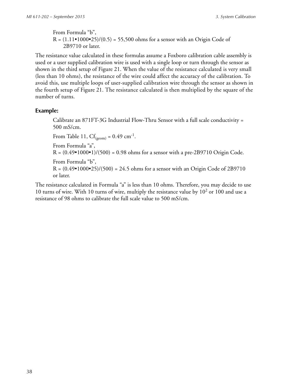From Formula "b",  $R = (1.11 \cdot 1000 \cdot 25)/(0.5) = 55,500$  ohms for a sensor with an Origin Code of 2B9710 or later.

The resistance value calculated in these formulas assume a Foxboro calibration cable assembly is used or a user supplied calibration wire is used with a single loop or turn through the sensor as shown in the third setup of [Figure 21.](#page-38-1) When the value of the resistance calculated is very small (less than 10 ohms), the resistance of the wire could affect the accuracy of the calibration. To avoid this, use multiple loops of user-supplied calibration wire through the sensor as shown in the fourth setup of [Figure 21](#page-38-1). The resistance calculated is then multiplied by the square of the number of turns.

#### **Example:**

Calibrate an 871FT-3G Industrial Flow-Thru Sensor with a full scale conductivity = 500 mS/cm.

From [Table 11](#page-34-0),  $Cf_{(geom)} = 0.49$  cm<sup>-1</sup>.

From Formula "a",

 $R = (0.49 \cdot 1000 \cdot 1)/(500) = 0.98$  ohms for a sensor with a pre-2B9710 Origin Code.

From Formula "b",

 $R = (0.49 \cdot 1000 \cdot 25)/(500) = 24.5$  ohms for a sensor with an Origin Code of 2B9710 or later.

The resistance calculated in Formula "a" is less than 10 ohms. Therefore, you may decide to use 10 turns of wire. With 10 turns of wire, multiply the resistance value by  $10^2$  or 100 and use a resistance of 98 ohms to calibrate the full scale value to 500 mS/cm.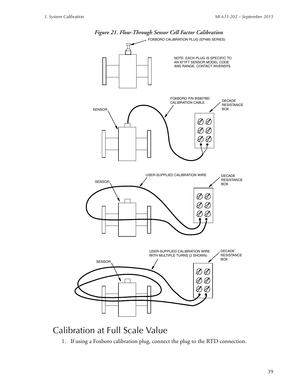<span id="page-38-1"></span>

### <span id="page-38-0"></span>Calibration at Full Scale Value

1. If using a Foxboro calibration plug, connect the plug to the RTD connection.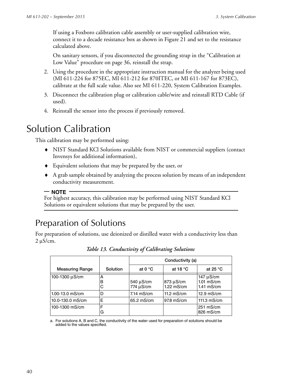If using a Foxboro calibration cable assembly or user-supplied calibration wire, connect it to a decade resistance box as shown in [Figure 21](#page-38-1) and set to the resistance calculated above.

On sanitary sensors, if you disconnected the grounding strap in the ["Calibration at](#page-35-0)  [Low Value"](#page-35-0) procedure on [page 36,](#page-35-0) reinstall the strap.

- 2. Using the procedure in the appropriate instruction manual for the analyzer being used (MI 611-224 for 875EC, MI 611-212 for 870ITEC, or MI 611-167 for 873EC), calibrate at the full scale value. Also see MI 611-220, System Calibration Examples.
- 3. Disconnect the calibration plug or calibration cable/wire and reinstall RTD Cable (if used).
- 4. Reinstall the sensor into the process if previously removed.

# <span id="page-39-0"></span>Solution Calibration

This calibration may be performed using:

- ♦ NIST Standard KCl Solutions available from NIST or commercial suppliers (contact Invensys for additional information),
- ♦ Equivalent solutions that may be prepared by the user, or
- ♦ A grab sample obtained by analyzing the process solution by means of an independent conductivity measurement.

 $-$  NOTE

For highest accuracy, this calibration may be performed using NIST Standard KCl Solutions or equivalent solutions that may be prepared by the user.

### <span id="page-39-1"></span>Preparation of Solutions

<span id="page-39-2"></span>For preparation of solutions, use deionized or distilled water with a conductivity less than 2 μS/cm.

|                        |             | Conductivity (a)       |                           |                                                |  |
|------------------------|-------------|------------------------|---------------------------|------------------------------------------------|--|
| <b>Measuring Range</b> | Solution    | at 0 $\degree$ C       | at 18 $^{\circ}$ C        | at 25 $\degree$ C                              |  |
| 100-1300 µS/cm         | А<br>в<br>С | 540 µS/cm<br>774 µS/cm | 873 µS/cm<br>$1.22$ mS/cm | $147 \mu$ S/cm<br>$1.01$ mS/cm<br>$1.41$ mS/cm |  |
| $1.00 - 13.0$ mS/cm    | D           | $7.14$ mS/cm           | 11.2 $mS/cm$              | $12.9$ mS/cm                                   |  |
| 10.0-130.0 mS/cm       | Е           | 65.2 mS/cm             | 97.8 mS/cm                | 111.3 mS/cm                                    |  |
| 100-1300 mS/cm         | F<br>G      |                        |                           | 251 mS/cm<br>826 mS/cm                         |  |

*Table 13. Conductivity of Calibrating Solutions*

a. For solutions A, B and C, the conductivity of the water used for preparation of solutions should be added to the values specified.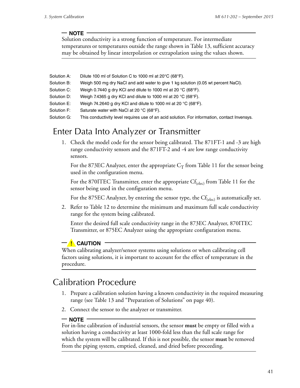#### **NOTE**

Solution conductivity is a strong function of temperature. For intermediate temperatures or temperatures outside the range shown in [Table 13](#page-39-2), sufficient accuracy may be obtained by linear interpolation or extrapolation using the values shown.

| Solution A: | Dilute 100 ml of Solution C to 1000 ml at 20°C (68°F).                             |
|-------------|------------------------------------------------------------------------------------|
| Solution B: | Weigh 500 mg dry NaCl and add water to give 1 kg solution (0.05 wt percent NaCl).  |
| Solution C: | Weigh 0.7440 g dry KCI and dilute to 1000 ml at 20 °C (68°F).                      |
| Solution D: | Weigh 7.4365 g dry KCI and dilute to 1000 ml at 20 $^{\circ}$ C (68 $^{\circ}$ F). |
| Solution E: | Weigh 74.2640 g dry KCI and dilute to 1000 ml at 20 °C (68°F).                     |
| Solution F: | Saturate water with NaCl at 20 $^{\circ}$ C (68 $^{\circ}$ F).                     |

Solution G: This conductivity level requires use of an acid solution. For information, contact Invensys.

### <span id="page-40-0"></span>Enter Data Into Analyzer or Transmitter

1. Check the model code for the sensor being calibrated. The 871FT-1 and -3 are high range conductivity sensors and the 871FT-2 and -4 are low range conductivity sensors.

For the 873EC Analyzer, enter the appropriate  $C_T$  from [Table 11](#page-34-0) for the sensor being used in the configuration menu.

For the 870ITEC Transmitter, enter the appropriate  $Cf_{\text{(elec)}}$  from [Table 11](#page-34-0) for the sensor being used in the configuration menu.

For the 875EC Analyzer, by entering the sensor type, the  $Cf_{(elec)}$  is automatically set.

2. Refer to [Table 12](#page-35-1) to determine the minimum and maximum full scale conductivity range for the system being calibrated.

Enter the desired full scale conductivity range in the 873EC Analyzer, 870ITEC Transmitter, or 875EC Analyzer using the appropriate configuration menu.

#### $\overline{\phantom{a}}$  **CAUTION**

When calibrating analyzer/sensor systems using solutions or when calibrating cell factors using solutions, it is important to account for the effect of temperature in the procedure.

### <span id="page-40-1"></span>Calibration Procedure

- 1. Prepare a calibration solution having a known conductivity in the required measuring range (see [Table 13](#page-39-2) and ["Preparation of Solutions" on page 40](#page-39-1)).
- 2. Connect the sensor to the analyzer or transmitter.

#### $-$  NOTE

For in-line calibration of industrial sensors, the sensor **must** be empty or filled with a solution having a conductivity at least 1000-fold less than the full scale range for which the system will be calibrated. If this is not possible, the sensor **must** be removed from the piping system, emptied, cleaned, and dried before proceeding.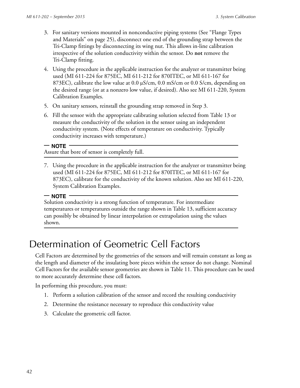- 3. For sanitary versions mounted in nonconductive piping systems (See ["Flange Types](#page-24-6)  [and Materials" on page 25\)](#page-24-6), disconnect one end of the grounding strap between the Tri-Clamp fittings by disconnecting its wing nut. This allows in-line calibration irrespective of the solution conductivity within the sensor. Do **not** remove the Tri-Clamp fitting.
- 4. Using the procedure in the applicable instruction for the analyzer or transmitter being used (MI 611-224 for 875EC, MI 611-212 for 870ITEC, or MI 611-167 for 873EC), calibrate the low value at 0.0  $\mu$ S/cm, 0.0 mS/cm or 0.0 S/cm, depending on the desired range (or at a nonzero low value, if desired). Also see MI 611-220, System Calibration Examples.
- 5. On sanitary sensors, reinstall the grounding strap removed in Step 3.
- 6. Fill the sensor with the appropriate calibrating solution selected from [Table 13](#page-39-2) or measure the conductivity of the solution in the sensor using an independent conductivity system. (Note effects of temperature on conductivity. Typically conductivity increases with temperature.)

#### $-$  NOTE

Assure that bore of sensor is completely full.

7. Using the procedure in the applicable instruction for the analyzer or transmitter being used (MI 611-224 for 875EC, MI 611-212 for 870ITEC, or MI 611-167 for 873EC), calibrate for the conductivity of the known solution. Also see MI 611-220, System Calibration Examples.

#### $-$  NOTE

Solution conductivity is a strong function of temperature. For intermediate temperatures or temperatures outside the range shown in [Table 13](#page-39-2), sufficient accuracy can possibly be obtained by linear interpolation or extrapolation using the values shown.

### <span id="page-41-0"></span>Determination of Geometric Cell Factors

Cell Factors are determined by the geometries of the sensors and will remain constant as long as the length and diameter of the insulating bore pieces within the sensor do not change. Nominal Cell Factors for the available sensor geometries are shown in [Table 11](#page-34-0). This procedure can be used to more accurately determine these cell factors.

In performing this procedure, you must:

- 1. Perform a solution calibration of the sensor and record the resulting conductivity
- 2. Determine the resistance necessary to reproduce this conductivity value
- 3. Calculate the geometric cell factor.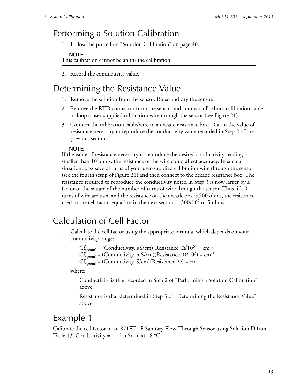### <span id="page-42-0"></span>Performing a Solution Calibration

1. Follow the procedure ["Solution Calibration" on page 40.](#page-39-0)

#### $-$  NOTE

This calibration cannot be an in-line calibration.

2. Record the conductivity value.

### <span id="page-42-1"></span>Determining the Resistance Value

- 1. Remove the solution from the sensor. Rinse and dry the sensor.
- 2. Remove the RTD connector from the sensor and connect a Foxboro calibration cable or loop a user-supplied calibration wire through the sensor (see [Figure 21\)](#page-38-1).
- 3. Connect the calibration cable/wire to a decade resistance box. Dial in the value of resistance necessary to reproduce the conductivity value recorded in Step 2 of the previous section.

#### $-$  NOTE

If the value of resistance necessary to reproduce the desired conductivity reading is smaller than 10 ohms, the resistance of the wire could affect accuracy. In such a situation, pass several turns of your user-supplied calibration wire through the sensor (see the fourth setup of [Figure 21\)](#page-38-1) and then connect to the decade resistance box. The resistance required to reproduce the conductivity noted in Step 3 is now larger by a factor of the square of the number of turns of wire through the sensor. Thus, if 10 turns of wire are used and the resistance on the decade box is 500 ohms, the resistance used in the cell factor equation in the next section is 500/10<sup>2</sup> or 5 ohms.

### <span id="page-42-2"></span>Calculation of Cell Factor

1. Calculate the cell factor using the appropriate formula, which depends on your conductivity range:

Cf<sub>(geom)</sub> = (Conductivity,  $\mu$ S/cm)(Resistance,  $\Omega/10^6$ ) = cm<sup>-1</sup>  $Cf_{(geom)}^{\text{geom}} = (Conductivity, mS/cm)(Resistance, \Omega/10^3) = cm^{-1}$  $Cf_{(geom)}^{\circ} = (Conductivity, S/cm)(Resistance, \Omega) = cm^{-1}$ 

where:

Conductivity is that recorded in Step 2 of ["Performing a Solution Calibration"](#page-42-0) above.

Resistance is that determined in Step 3 of ["Determining the Resistance Value"](#page-42-1)  above.

### <span id="page-42-3"></span>Example 1

Calibrate the cell factor of an 871FT-1F Sanitary Flow-Through Sensor using Solution D from [Table 13](#page-39-2). Conductivity =  $11.2$  mS/cm at 18 °C.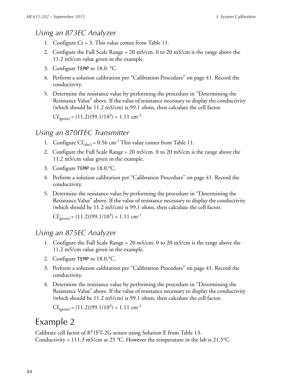### *Using an 873EC Analyzer*

- 1. Configure Ct = 3. This value comes from [Table 11](#page-34-0).
- 2. Configure the Full Scale Range = 20 mS/cm. 0 to 20 mS/cm is the range above the 11.2 mS/cm value given in the example.
- 3. Configure TEMP to 18.0. °C.
- 4. Perform a solution calibration per ["Calibration Procedure" on page 41](#page-40-1). Record the conductivity.
- 5. Determine the resistance value by performing the procedure in ["Determining the](#page-42-1)  [Resistance Value"](#page-42-1) above. If the value of resistance necessary to display the conductivity (which should be 11.2 mS/cm) is 99.1 ohms, then calculate the cell factor.

 $Cf_{(geom)} = (11.2)(99.1/10^3) = 1.11$  cm<sup>-1</sup>

### *Using an 870ITEC Transmitter*

- 1. Configure  $C_{\text{felec}} = 0.56 \text{ cm}^{-1}$  This value comes from [Table 11](#page-34-0).
- 2. Configure the Full Scale Range = 20 mS/cm. 0 to 20 mS/cm is the range above the 11.2 mS/cm value given in the example.
- 3. Configure TEMP to 18.0.°C.
- 4. Perform a solution calibration per ["Calibration Procedure" on page 41](#page-40-1). Record the conductivity.
- 5. Determine the resistance value by performing the procedure in ["Determining the](#page-42-1)  [Resistance Value"](#page-42-1) above. If the value of resistance necessary to display the conductivity (which should be 11.2 mS/cm) is 99.1 ohms, then calculate the cell factor.

 $Cf_{(geom)} = (11.2)(99.1/10^3) = 1.11$  cm<sup>-1</sup>

### *Using an 875EC Analyzer*

- 1. Configure the Full Scale Range = 20 mS/cm. 0 to 20 mS/cm is the range above the 11.2 mS/cm value given in the example.
- 2. Configure TEMP to 18.0.°C.
- 3. Perform a solution calibration per ["Calibration Procedure" on page 41](#page-40-1). Record the conductivity.
- 4. Determine the resistance value by performing the procedure in ["Determining the](#page-42-1)  [Resistance Value"](#page-42-1) above. If the value of resistance necessary to display the conductivity (which should be 11.2 mS/cm) is 99.1 ohms, then calculate the cell factor.

 $Cf_{(geom)} = (11.2)(99.1/10^3) = 1.11$  cm<sup>-1</sup>

### <span id="page-43-0"></span>Example 2

Calibrate cell factor of 871FT-2G sensor using Solution E from [Table 13.](#page-39-2) Conductivity =  $111.3 \text{ mS/cm}$  at 25 °C. However the temperature in the lab is 21.5 °C.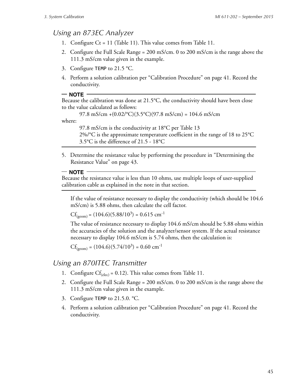### *Using an 873EC Analyzer*

- 1. Configure Ct = 11 ([Table 11](#page-34-0)). This value comes from [Table 11](#page-34-0).
- 2. Configure the Full Scale Range = 200 mS/cm. 0 to 200 mS/cm is the range above the 111.3 mS/cm value given in the example.
- 3. Configure TEMP to 21.5 °C.
- 4. Perform a solution calibration per ["Calibration Procedure" on page 41](#page-40-1). Record the conductivity.

```
- NOTE -
```
Because the calibration was done at 21.5°C, the conductivity should have been close to the value calculated as follows:

97.8 mS/cm +  $(0.02$ <sup>o</sup>C $)(3.5$ <sup>o</sup>C $)(97.8$  mS/cm $)$  = 104.6 mS/cm

where:

97.8 mS/cm is the conductivity at 18°C per [Table 13](#page-39-2) 2%/°C is the approximate temperature coefficient in the range of 18 to 25°C 3.5°C is the difference of 21.5 - 18°C

5. Determine the resistance value by performing the procedure in ["Determining the](#page-42-1)  [Resistance Value" on page 43.](#page-42-1)

#### $-$  NOTE  $\cdot$

Because the resistance value is less than 10 ohms, use multiple loops of user-supplied calibration cable as explained in the note in that section.

If the value of resistance necessary to display the conductivity (which should be 104.6 mS/cm) is 5.88 ohms, then calculate the cell factor.

 $Cf_{(geom)} = (104.6)(5.88/10^3) = 0.615$  cm<sup>-1</sup>

The value of resistance necessary to display 104.6 mS/cm should be 5.88 ohms within the accuracies of the solution and the analyzer/sensor system. If the actual resistance necessary to display 104.6 mS/cm is 5.74 ohms, then the calculation is:

 $Cf_{(geom)} = (104.6)(5.74/10^3) = 0.60$  cm<sup>-1</sup>

#### *Using an 870ITEC Transmitter*

- 1. Configure  $\text{Cf}_{\text{(elec)}} = 0.12$ ). This value comes from [Table 11.](#page-34-0)
- 2. Configure the Full Scale Range = 200 mS/cm. 0 to 200 mS/cm is the range above the 111.3 mS/cm value given in the example.
- 3. Configure TEMP to 21.5.0. °C.
- 4. Perform a solution calibration per ["Calibration Procedure" on page 41](#page-40-1). Record the conductivity.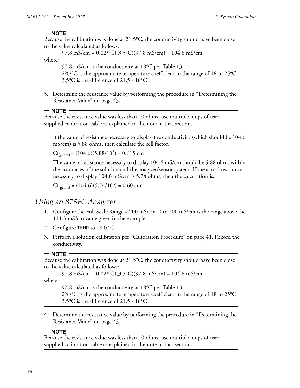#### $-$  NOTE

Because the calibration was done at 21.5°C, the conductivity should have been close to the value calculated as follows:

 $97.8 \text{ mS/cm } + (0.02\degree\text{C})(3.5\degree\text{C})(97.8 \text{ mS/cm}) = 104.6 \text{ mS/cm}$ 

where:

97.8 mS/cm is the conductivity at 18°C per [Table 13](#page-39-2)  $2\%$ /°C is the approximate temperature coefficient in the range of 18 to 25°C 3.5°C is the difference of 21.5 - 18°C

5. Determine the resistance value by performing the procedure in ["Determining the](#page-42-1)  [Resistance Value" on page 43.](#page-42-1)

 $-$  NOTE  $\cdot$ 

Because the resistance value was less than 10 ohms, use multiple loops of usersupplied calibration cable as explained in the note in that section.

If the value of resistance necessary to display the conductivity (which should be 104.6 mS/cm) is 5.88 ohms, then calculate the cell factor.

 $Cf_{(geom)} = (104.6)(5.88/10^3) = 0.615$  cm<sup>-1</sup>

The value of resistance necessary to display 104.6 mS/cm should be 5.88 ohms within the accuracies of the solution and the analyzer/sensor system. If the actual resistance necessary to display 104.6 mS/cm is 5.74 ohms, then the calculation is:

 $Cf_{(geom)} = (104.6)(5.74/10^3) = 0.60$  cm<sup>-1</sup>

#### *Using an 875EC Analyzer*

- 1. Configure the Full Scale Range = 200 mS/cm. 0 to 200 mS/cm is the range above the 111.3 mS/cm value given in the example.
- 2. Configure TEMP to 18.0.°C.
- 3. Perform a solution calibration per ["Calibration Procedure" on page 41](#page-40-1). Record the conductivity.

#### $-$  NOTE  $-$

Because the calibration was done at 21.5°C, the conductivity should have been close to the value calculated as follows:

 $97.8 \text{ mS/cm } +(0.02\degree\text{C})(3.5\degree\text{C})(97.8 \text{ mS/cm}) = 104.6 \text{ mS/cm}$ 

where:

97.8 mS/cm is the conductivity at 18°C per [Table 13](#page-39-2)

 $2\%$ /°C is the approximate temperature coefficient in the range of 18 to 25°C 3.5°C is the difference of 21.5 - 18°C

4. Determine the resistance value by performing the procedure in ["Determining the](#page-42-1)  [Resistance Value" on page 43.](#page-42-1)

#### $-$  NOTE

Because the resistance value was less than 10 ohms, use multiple loops of usersupplied calibration cable as explained in the note in that section.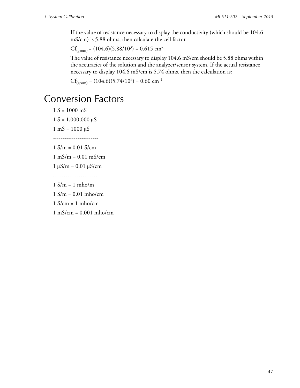If the value of resistance necessary to display the conductivity (which should be 104.6 mS/cm) is 5.88 ohms, then calculate the cell factor.

$$
Cf_{(geom)} = (104.6)(5.88/10^3) = 0.615
$$
 cm<sup>-1</sup>

The value of resistance necessary to display 104.6 mS/cm should be 5.88 ohms within the accuracies of the solution and the analyzer/sensor system. If the actual resistance necessary to display 104.6 mS/cm is 5.74 ohms, then the calculation is:

 $Cf_{(geom)} = (104.6)(5.74/10^3) = 0.60$  cm<sup>-1</sup>

## <span id="page-46-0"></span>Conversion Factors

 $1 S = 1000 mS$ 

 $1 S = 1,000,000 \mu S$ 

 $1 \text{ m}$ S = 1000 μS

------------------------

 $1 S/m = 0.01 S/cm$ 

 $1 \text{ mS/m} = 0.01 \text{ mS/cm}$ 

 $1 \mu S/m = 0.01 \mu S/cm$ 

------------------------

 $1 \text{ S/m} = 1 \text{ mho/m}$ 

 $1 S/m = 0.01$  mho/cm

 $1$  S/cm = 1 mho/cm

1 mS/cm = 0.001 mho/cm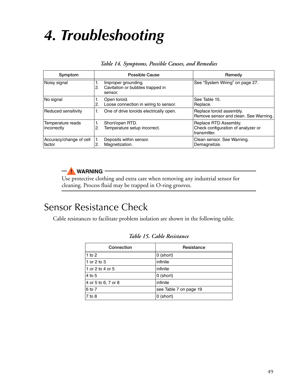# <span id="page-48-0"></span>*4. Troubleshooting*

|  | Table 14. Symptoms, Possible Causes, and Remedies |  |  |  |  |
|--|---------------------------------------------------|--|--|--|--|
|--|---------------------------------------------------|--|--|--|--|

<span id="page-48-2"></span>

| Symptom                           | Possible Cause                                                                 | Remedy                                                                      |
|-----------------------------------|--------------------------------------------------------------------------------|-----------------------------------------------------------------------------|
| Noisy signal                      | Improper grounding.<br>ъ.<br>Cavitation or bubbles trapped in<br>2.<br>sensor. | See "System Wiring" on page 27.                                             |
| No signal                         | Open toroid.<br>ъ.<br>Loose connection in wiring to sensor.<br>2.              | See Table 15.<br>Replace.                                                   |
| Reduced sensitivity               | One of drive toroids electrically open.                                        | Replace toroid assembly.<br>Remove sensor and clean. See Warning.           |
| Temperature reads<br>incorrectly  | Short/open RTD.<br>Temperature setup incorrect.<br>2.                          | Replace RTD Assembly.<br>Check configuration of analyzer or<br>transmitter. |
| Accuracy/change of cell<br>factor | Deposits within sensor.<br>Magnetization.<br>2.                                | Clean sensor. See Warning.<br>Demagnetize.                                  |

! **WARNING**

Use protective clothing and extra care when removing any industrial sensor for cleaning. Process fluid may be trapped in O-ring grooves.

## <span id="page-48-1"></span>Sensor Resistance Check

<span id="page-48-3"></span>Cable resistances to facilitate problem isolation are shown in the following table.

| Connection          | Resistance             |
|---------------------|------------------------|
| 1 to 2              | 0 (short)              |
| 1 or 2 to 3         | infinite               |
| 1 or 2 to 4 or 5    | infinite               |
| 4 to 5              | 0 (short)              |
| 4 or 5 to 6, 7 or 8 | infinite               |
| 6 to 7              | see Table 7 on page 19 |
| 7 to 8              | 0 (short)              |

*Table 15. Cable Resistance*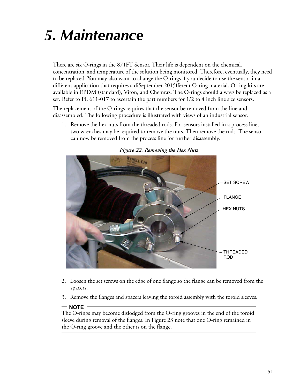# <span id="page-50-0"></span>*5. Maintenance*

There are six O-rings in the 871FT Sensor. Their life is dependent on the chemical, concentration, and temperature of the solution being monitored. Therefore, eventually, they need to be replaced. You may also want to change the O-rings if you decide to use the sensor in a different application that requires a diSeptember 2015fferent O-ring material. O-ring kits are available in EPDM (standard), Viton, and Chemraz. The O-rings should always be replaced as a set. Refer to PL 611-017 to ascertain the part numbers for 1/2 to 4 inch line size sensors.

The replacement of the O-rings requires that the sensor be removed from the line and disassembled. The following procedure is illustrated with views of an industrial sensor.

1. Remove the hex nuts from the threaded rods. For sensors installed in a process line, two wrenches may be required to remove the nuts. Then remove the rods. The sensor can now be removed from the process line for further disassembly.

<span id="page-50-1"></span>

*Figure 22. Removing the Hex Nuts*

- 2. Loosen the set screws on the edge of one flange so the flange can be removed from the spacers.
- 3. Remove the flanges and spacers leaving the toroid assembly with the toroid sleeves.

#### $-$  NOTE

The O-rings may become dislodged from the O-ring grooves in the end of the toroid sleeve during removal of the flanges. In [Figure 23](#page-51-0) note that one O-ring remained in the O-ring groove and the other is on the flange.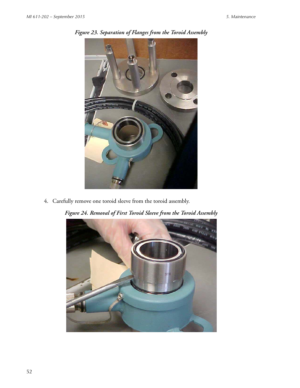<span id="page-51-0"></span>

*Figure 23. Separation of Flanges from the Toroid Assembly*

<span id="page-51-1"></span>4. Carefully remove one toroid sleeve from the toroid assembly.

*Figure 24. Removal of First Toroid Sleeve from the Toroid Assembly*

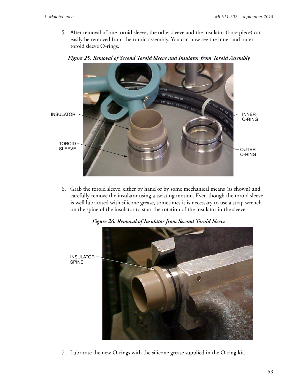5. After removal of one toroid sleeve, the other sleeve and the insulator (bore piece) can easily be removed from the toroid assembly. You can now see the inner and outer toroid sleeve O-rings.

<span id="page-52-0"></span>

*Figure 25. Removal of Second Toroid Sleeve and Insulator from Toroid Assembly*

6. Grab the toroid sleeve, either by hand or by some mechanical means (as shown) and carefully remove the insulator using a twisting motion. Even though the toroid sleeve is well lubricated with silicone grease, sometimes it is necessary to use a strap wrench on the spine of the insulator to start the rotation of the insulator in the sleeve.

<span id="page-52-1"></span>

*Figure 26. Removal of Insulator from Second Toroid Sleeve*

7. Lubricate the new O-rings with the silicone grease supplied in the O-ring kit.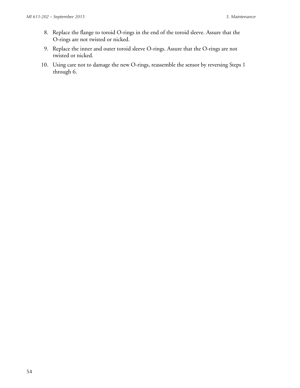- 8. Replace the flange to toroid O-rings in the end of the toroid sleeve. Assure that the O-rings are not twisted or nicked.
- 9. Replace the inner and outer toroid sleeve O-rings. Assure that the O-rings are not twisted or nicked.
- 10. Using care not to damage the new O-rings, reassemble the sensor by reversing Steps 1 through 6.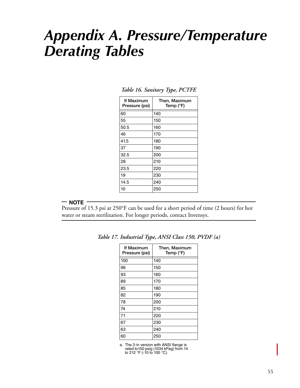# <span id="page-54-1"></span><span id="page-54-0"></span>*Appendix A. Pressure/Temperature Derating Tables*

| If Maximum<br>Pressure (psi) | Then, Maximum<br>Temp $(^{\circ}F)$ |
|------------------------------|-------------------------------------|
| 60                           | 140                                 |
| 55                           | 150                                 |
| 50.5                         | 160                                 |
| 46                           | 170                                 |
| 41.5                         | 180                                 |
| 37                           | 190                                 |
| 32.5                         | 200                                 |
| 28                           | 210                                 |
| 23.5                         | 220                                 |
| 19                           | 230                                 |
| 14.5                         | 240                                 |
| 10                           | 250                                 |

#### *Table 16. Sanitary Type, PCTFE*

#### $-$  NOTE  $\cdot$

<span id="page-54-2"></span>Pressure of 15.3 psi at 250°F can be used for a short period of time (2 hours) for hot water or steam sterilization. For longer periods, contact Invensys.

| If Maximum<br>Pressure (psi) | Then, Maximum<br>Temp $(^{\circ}F)$ |
|------------------------------|-------------------------------------|
| 100                          | 140                                 |
| 96                           | 150                                 |
| 93                           | 160                                 |
| 89                           | 170                                 |
| 85                           | 180                                 |
| 82                           | 190                                 |
| 78                           | 200                                 |
| 74                           | 210                                 |
| 71                           | 220                                 |
| 67                           | 230                                 |
| 63                           | 240                                 |
| 60                           | 250                                 |

*Table 17. Industrial Type, ANSI Class 150, PVDF (a)*

a. The 2-in version with ANSI flange is rated to150 psig (1034 kPag) from 14 to 212 °F (-10 to 100 °C).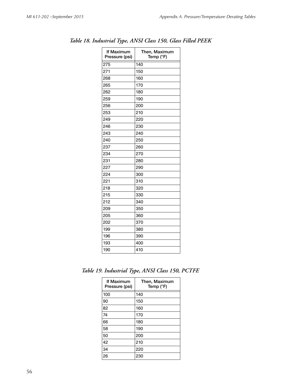| If Maximum<br>Pressure (psi) | Then, Maximum<br>Temp (°F) |
|------------------------------|----------------------------|
| 275                          | 140                        |
| 271                          | 150                        |
| 268                          | 160                        |
| 265                          | 170                        |
| 262                          | 180                        |
| 259                          | 190                        |
| 256                          | 200                        |
| 253                          | 210                        |
| 249                          | 220                        |
| 246                          | 230                        |
| 243                          | 240                        |
| 240                          | 250                        |
| 237                          | 260                        |
| 234                          | 270                        |
| 231                          | 280                        |
| 227                          | 290                        |
| 224                          | 300                        |
| 221                          | 310                        |
| 218                          | 320                        |
| 215                          | 330                        |
| 212                          | 340                        |
| 209                          | 350                        |
| 205                          | 360                        |
| 202                          | 370                        |
| 199                          | 380                        |
| 196                          | 390                        |
| 193                          | 400                        |
| 190                          | 410                        |

<span id="page-55-0"></span>

| Table 18. Industrial Type, ANSI Class 150, Glass Filled PEEK |  |  |  |
|--------------------------------------------------------------|--|--|--|
|--------------------------------------------------------------|--|--|--|

<span id="page-55-1"></span>*Table 19. Industrial Type, ANSI Class 150, PCTFE*

| If Maximum<br>Pressure (psi) | Then, Maximum<br>Temp (°F) |
|------------------------------|----------------------------|
| 100                          | 140                        |
| 90                           | 150                        |
| 82                           | 160                        |
| 74                           | 170                        |
| 66                           | 180                        |
| 58                           | 190                        |
| 50                           | 200                        |
| 42                           | 210                        |
| 34                           | 220                        |
| 26                           | 230                        |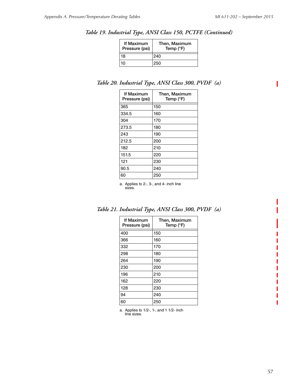| If Maximum<br>Pressure (psi) | Then, Maximum<br>Temp $(^{\circ}F)$ |
|------------------------------|-------------------------------------|
| 18                           | 240                                 |
| 10                           | 250                                 |

*Table 19. Industrial Type, ANSI Class 150, PCTFE (Continued)*

#### <span id="page-56-0"></span>*Table 20. Industrial Type, ANSI Class 300, PVDF (a)*

| If Maximum<br>Pressure (psi) | Then, Maximum<br>Temp $(^{\circ}F)$ |
|------------------------------|-------------------------------------|
| 365                          | 150                                 |
| 334.5                        | 160                                 |
| 304                          | 170                                 |
| 273.5                        | 180                                 |
| 243                          | 190                                 |
| 212.5                        | 200                                 |
| 182                          | 210                                 |
| 151.5                        | 220                                 |
| 121                          | 230                                 |
| 90.5                         | 240                                 |
| 60                           | 250                                 |

a. Applies to 2-, 3-, and 4- inch line sizes.

| If Maximum<br>Pressure (psi) | Then, Maximum<br>Temp (°F) |
|------------------------------|----------------------------|
| 400                          | 150                        |
| 366                          | 160                        |
| 332                          | 170                        |
| 298                          | 180                        |
| 264                          | 190                        |
| 230                          | 200                        |
| 196                          | 210                        |
| 162                          | 220                        |
| 128                          | 230                        |
| 94                           | 240                        |
| 60                           | 250                        |
|                              |                            |

<span id="page-56-1"></span>*Table 21. Industrial Type, ANSI Class 300, PVDF (a)*

a. Applies to 1/2-, 1-, and 1 1/2- inch line sizes.